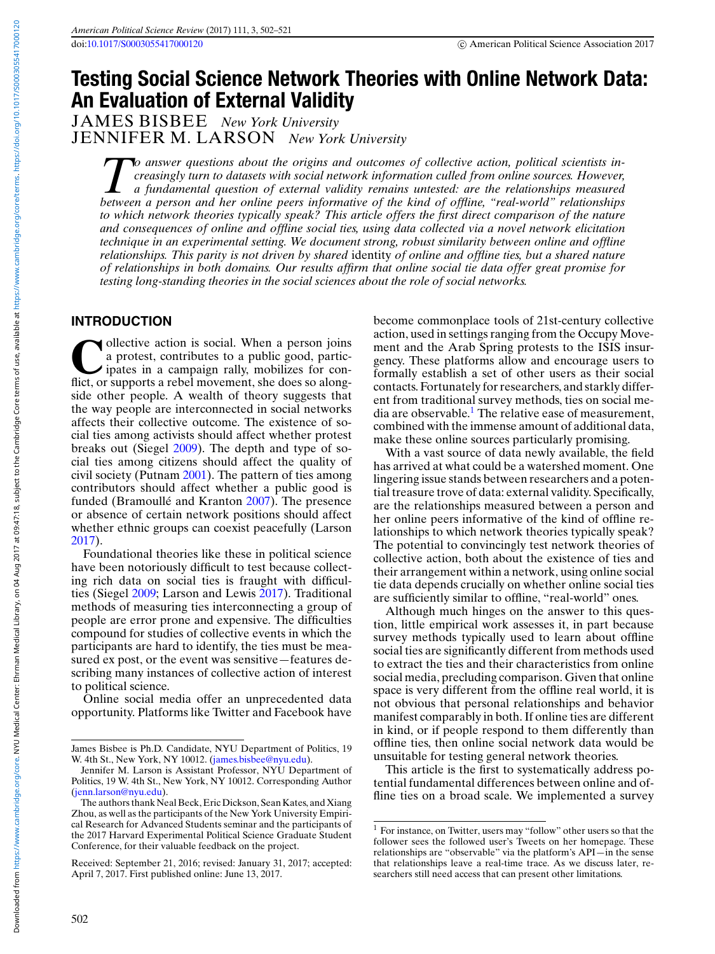# **Testing Social Science Network Theories with Online Network Data: An Evaluation of External Validity**

JAMES BISBEE *New York University* JENNIFER M. LARSON *New York University*

*To answer questions about the origins and outcomes of collective action, political scientists increasingly turn to datasets with social network information culled from online sources. However, a fundamental question of external validity remains untested: are the relationships measured between a person and her online peers informative of the kind of offline, "real-world" relationships to which network theories typically speak? This article offers the first direct comparison of the nature and consequences of online and offline social ties, using data collected via a novel network elicitation technique in an experimental setting. We document strong, robust similarity between online and offline relationships. This parity is not driven by shared* identity *of online and offline ties, but a shared nature of relationships in both domains. Our results affirm that online social tie data offer great promise for testing long-standing theories in the social sciences about the role of social networks.*

#### **INTRODUCTION**

**C**ollective action is social. When a person joins<br>a protest, contributes to a public good, partic-<br>ipates in a campaign rally, mobilizes for con-<br>flict or supports a rebel movement she does so alonga protest, contributes to a public good, participates in a campaign rally, mobilizes for conflict, or supports a rebel movement, she does so alongside other people. A wealth of theory suggests that the way people are interconnected in social networks affects their collective outcome. The existence of social ties among activists should affect whether protest breaks out (Siegel [2009\)](#page-19-0). The depth and type of social ties among citizens should affect the quality of civil society (Putnam [2001\)](#page-19-0). The pattern of ties among contributors should affect whether a public good is funded (Bramoullé and Kranton [2007\)](#page-18-0). The presence or absence of certain network positions should affect whether ethnic groups can coexist peacefully (Larson [2017\)](#page-19-0).

Foundational theories like these in political science have been notoriously difficult to test because collecting rich data on social ties is fraught with difficulties (Siegel [2009;](#page-19-0) Larson and Lewis [2017\)](#page-19-0). Traditional methods of measuring ties interconnecting a group of people are error prone and expensive. The difficulties compound for studies of collective events in which the participants are hard to identify, the ties must be measured ex post, or the event was sensitive—features describing many instances of collective action of interest to political science.

Online social media offer an unprecedented data opportunity. Platforms like Twitter and Facebook have become commonplace tools of 21st-century collective action, used in settings ranging from the Occupy Movement and the Arab Spring protests to the ISIS insurgency. These platforms allow and encourage users to formally establish a set of other users as their social contacts. Fortunately for researchers, and starkly different from traditional survey methods, ties on social media are observable.<sup>1</sup> The relative ease of measurement, combined with the immense amount of additional data, make these online sources particularly promising.

With a vast source of data newly available, the field has arrived at what could be a watershed moment. One lingering issue stands between researchers and a potential treasure trove of data: external validity. Specifically, are the relationships measured between a person and her online peers informative of the kind of offline relationships to which network theories typically speak? The potential to convincingly test network theories of collective action, both about the existence of ties and their arrangement within a network, using online social tie data depends crucially on whether online social ties are sufficiently similar to offline, "real-world" ones.

Although much hinges on the answer to this question, little empirical work assesses it, in part because survey methods typically used to learn about offline social ties are significantly different from methods used to extract the ties and their characteristics from online social media, precluding comparison. Given that online space is very different from the offline real world, it is not obvious that personal relationships and behavior manifest comparably in both. If online ties are different in kind, or if people respond to them differently than offline ties, then online social network data would be unsuitable for testing general network theories.

This article is the first to systematically address potential fundamental differences between online and offline ties on a broad scale. We implemented a survey

James Bisbee is Ph.D. Candidate, NYU Department of Politics, 19 W. 4th St., New York, NY 10012. [\(james.bisbee@nyu.edu\)](mailto:james.bisbee@nyu.edu).

Jennifer M. Larson is Assistant Professor, NYU Department of Politics, 19 W. 4th St., New York, NY 10012. Corresponding Author [\(jenn.larson@nyu.edu\)](mailto:jenn.larson@nyu.edu).

The authors thank Neal Beck, Eric Dickson, Sean Kates, and Xiang Zhou, as well as the participants of the New York University Empirical Research for Advanced Students seminar and the participants of the 2017 Harvard Experimental Political Science Graduate Student Conference, for their valuable feedback on the project.

Received: September 21, 2016; revised: January 31, 2017; accepted: April 7, 2017. First published online: June 13, 2017.

 $1$  For instance, on Twitter, users may "follow" other users so that the follower sees the followed user's Tweets on her homepage. These relationships are "observable" via the platform's API—in the sense that relationships leave a real-time trace. As we discuss later, researchers still need access that can present other limitations.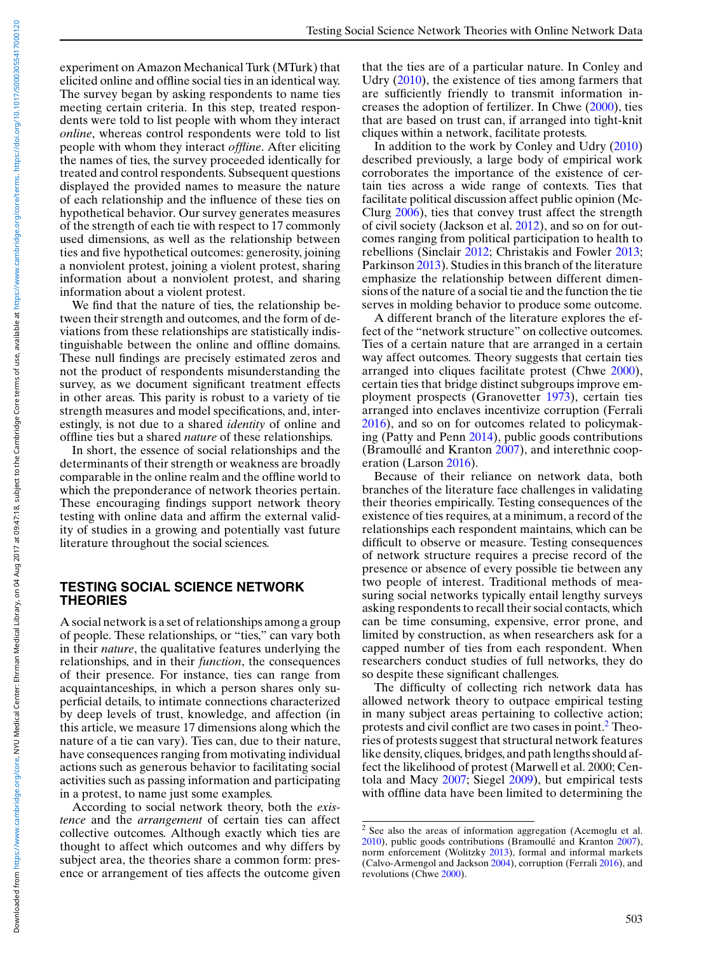experiment on Amazon Mechanical Turk (MTurk) that elicited online and offline social ties in an identical way. The survey began by asking respondents to name ties meeting certain criteria. In this step, treated respondents were told to list people with whom they interact *online*, whereas control respondents were told to list people with whom they interact *offline*. After eliciting the names of ties, the survey proceeded identically for treated and control respondents. Subsequent questions displayed the provided names to measure the nature of each relationship and the influence of these ties on hypothetical behavior. Our survey generates measures of the strength of each tie with respect to 17 commonly used dimensions, as well as the relationship between ties and five hypothetical outcomes: generosity, joining a nonviolent protest, joining a violent protest, sharing information about a nonviolent protest, and sharing information about a violent protest.

We find that the nature of ties, the relationship between their strength and outcomes, and the form of deviations from these relationships are statistically indistinguishable between the online and offline domains. These null findings are precisely estimated zeros and not the product of respondents misunderstanding the survey, as we document significant treatment effects in other areas. This parity is robust to a variety of tie strength measures and model specifications, and, interestingly, is not due to a shared *identity* of online and offline ties but a shared *nature* of these relationships.

In short, the essence of social relationships and the determinants of their strength or weakness are broadly comparable in the online realm and the offline world to which the preponderance of network theories pertain. These encouraging findings support network theory testing with online data and affirm the external validity of studies in a growing and potentially vast future literature throughout the social sciences.

#### **TESTING SOCIAL SCIENCE NETWORK THEORIES**

A social network is a set of relationships among a group of people. These relationships, or "ties," can vary both in their *nature*, the qualitative features underlying the relationships, and in their *function*, the consequences of their presence. For instance, ties can range from acquaintanceships, in which a person shares only superficial details, to intimate connections characterized by deep levels of trust, knowledge, and affection (in this article, we measure 17 dimensions along which the nature of a tie can vary). Ties can, due to their nature, have consequences ranging from motivating individual actions such as generous behavior to facilitating social activities such as passing information and participating in a protest, to name just some examples.

According to social network theory, both the *existence* and the *arrangement* of certain ties can affect collective outcomes. Although exactly which ties are thought to affect which outcomes and why differs by subject area, the theories share a common form: presence or arrangement of ties affects the outcome given

that the ties are of a particular nature. In Conley and Udry [\(2010\)](#page-18-0), the existence of ties among farmers that are sufficiently friendly to transmit information increases the adoption of fertilizer. In Chwe [\(2000\)](#page-18-0), ties that are based on trust can, if arranged into tight-knit cliques within a network, facilitate protests.

In addition to the work by Conley and Udry [\(2010\)](#page-18-0) described previously, a large body of empirical work corroborates the importance of the existence of certain ties across a wide range of contexts. Ties that facilitate political discussion affect public opinion (Mc-Clurg [2006\)](#page-19-0), ties that convey trust affect the strength of civil society (Jackson et al. [2012\)](#page-19-0), and so on for outcomes ranging from political participation to health to rebellions (Sinclair [2012;](#page-19-0) Christakis and Fowler [2013;](#page-18-0) Parkinson [2013\)](#page-19-0). Studies in this branch of the literature emphasize the relationship between different dimensions of the nature of a social tie and the function the tie serves in molding behavior to produce some outcome.

A different branch of the literature explores the effect of the "network structure" on collective outcomes. Ties of a certain nature that are arranged in a certain way affect outcomes. Theory suggests that certain ties arranged into cliques facilitate protest (Chwe [2000\)](#page-18-0), certain ties that bridge distinct subgroups improve employment prospects (Granovetter [1973\)](#page-18-0), certain ties arranged into enclaves incentivize corruption (Ferrali [2016\)](#page-18-0), and so on for outcomes related to policymaking (Patty and Penn [2014\)](#page-19-0), public goods contributions (Bramoullé and Kranton  $2007$ ), and interethnic cooperation (Larson [2016\)](#page-19-0).

Because of their reliance on network data, both branches of the literature face challenges in validating their theories empirically. Testing consequences of the existence of ties requires, at a minimum, a record of the relationships each respondent maintains, which can be difficult to observe or measure. Testing consequences of network structure requires a precise record of the presence or absence of every possible tie between any two people of interest. Traditional methods of measuring social networks typically entail lengthy surveys asking respondents to recall their social contacts, which can be time consuming, expensive, error prone, and limited by construction, as when researchers ask for a capped number of ties from each respondent. When researchers conduct studies of full networks, they do so despite these significant challenges.

The difficulty of collecting rich network data has allowed network theory to outpace empirical testing in many subject areas pertaining to collective action; protests and civil conflict are two cases in point.2 Theories of protests suggest that structural network features like density, cliques, bridges, and path lengths should affect the likelihood of protest (Marwell et al. 2000; Centola and Macy [2007;](#page-18-0) Siegel [2009\)](#page-19-0), but empirical tests with offline data have been limited to determining the

Downloaded from https://www.cambridge.org/core. NYU Medical Center: Ehrman Medical Center: Fhrman Medical Center: Fhrman Medical Center: 2017 at 09:47: 18, sular Canbridge Core terms of use, available at https://www.cambri Downloaded from https://www.cambridge.org/core. NYU Medical Center: Ehrman Medical Library, on 04 Aug 2017 at 09:47:18, subject to the Cambridge or e terms of use, available at https://www.cambridge.org/core/terms. https:

<sup>2</sup> See also the areas of information aggregation (Acemoglu et al.  $2010$ ), public goods contributions (Bramoullé and Kranton  $2007$ ), norm enforcement (Wolitzky [2013\)](#page-19-0), formal and informal markets (Calvo-Armengol and Jackson [2004\)](#page-18-0), corruption (Ferrali [2016\)](#page-18-0), and revolutions (Chwe [2000\)](#page-18-0).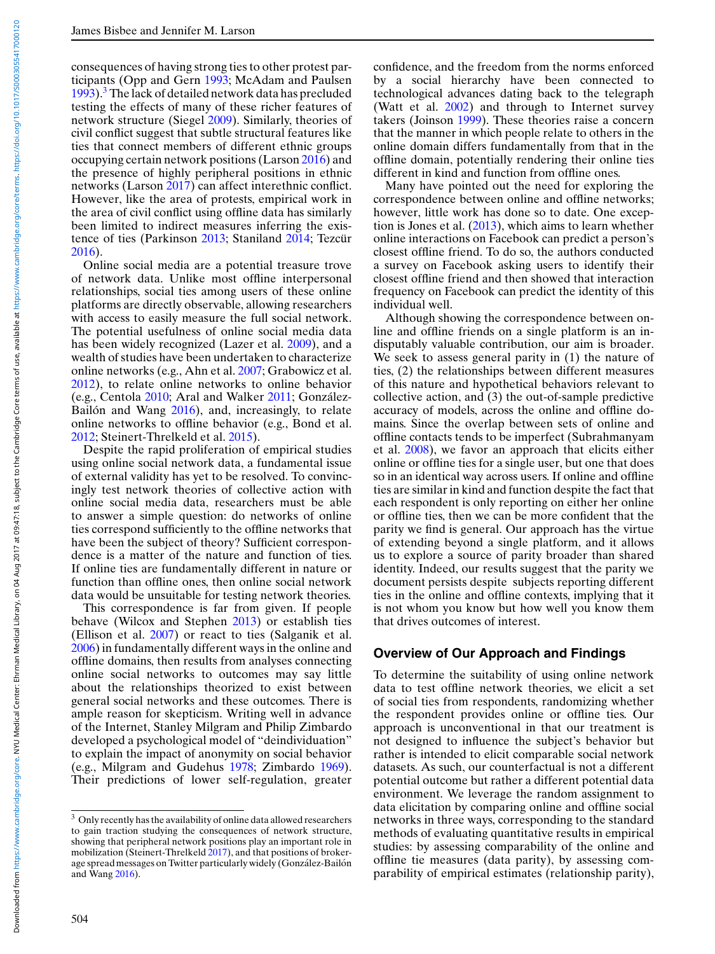consequences of having strong ties to other protest participants (Opp and Gern [1993;](#page-19-0) McAdam and Paulsen [1993\)](#page-19-0).<sup>3</sup> The lack of detailed network data has precluded testing the effects of many of these richer features of network structure (Siegel [2009\)](#page-19-0). Similarly, theories of civil conflict suggest that subtle structural features like ties that connect members of different ethnic groups occupying certain network positions (Larson [2016\)](#page-19-0) and the presence of highly peripheral positions in ethnic networks (Larson [2017\)](#page-19-0) can affect interethnic conflict. However, like the area of protests, empirical work in the area of civil conflict using offline data has similarly been limited to indirect measures inferring the exis-tence of ties (Parkinson [2013;](#page-19-0) Staniland [2014;](#page-19-0) Tezcür [2016\)](#page-19-0).

Online social media are a potential treasure trove of network data. Unlike most offline interpersonal relationships, social ties among users of these online platforms are directly observable, allowing researchers with access to easily measure the full social network. The potential usefulness of online social media data has been widely recognized (Lazer et al. [2009\)](#page-19-0), and a wealth of studies have been undertaken to characterize online networks (e.g., Ahn et al. [2007;](#page-18-0) Grabowicz et al. [2012\)](#page-18-0), to relate online networks to online behavior (e.g., Centola [2010;](#page-18-0) Aral and Walker [2011;](#page-18-0) Gonzalez- ´ Bailón and Wang  $2016$ ), and, increasingly, to relate online networks to offline behavior (e.g., Bond et al. [2012;](#page-18-0) Steinert-Threlkeld et al. [2015\)](#page-19-0).

Despite the rapid proliferation of empirical studies using online social network data, a fundamental issue of external validity has yet to be resolved. To convincingly test network theories of collective action with online social media data, researchers must be able to answer a simple question: do networks of online ties correspond sufficiently to the offline networks that have been the subject of theory? Sufficient correspondence is a matter of the nature and function of ties. If online ties are fundamentally different in nature or function than offline ones, then online social network data would be unsuitable for testing network theories.

This correspondence is far from given. If people behave (Wilcox and Stephen [2013\)](#page-19-0) or establish ties (Ellison et al. [2007\)](#page-18-0) or react to ties (Salganik et al. [2006\)](#page-19-0) in fundamentally different ways in the online and offline domains, then results from analyses connecting online social networks to outcomes may say little about the relationships theorized to exist between general social networks and these outcomes. There is ample reason for skepticism. Writing well in advance of the Internet, Stanley Milgram and Philip Zimbardo developed a psychological model of "deindividuation" to explain the impact of anonymity on social behavior (e.g., Milgram and Gudehus [1978;](#page-19-0) Zimbardo [1969\)](#page-19-0). Their predictions of lower self-regulation, greater confidence, and the freedom from the norms enforced by a social hierarchy have been connected to technological advances dating back to the telegraph (Watt et al. [2002\)](#page-19-0) and through to Internet survey takers (Joinson [1999\)](#page-19-0). These theories raise a concern that the manner in which people relate to others in the online domain differs fundamentally from that in the offline domain, potentially rendering their online ties different in kind and function from offline ones.

Many have pointed out the need for exploring the correspondence between online and offline networks; however, little work has done so to date. One exception is Jones et al.  $(2013)$ , which aims to learn whether online interactions on Facebook can predict a person's closest offline friend. To do so, the authors conducted a survey on Facebook asking users to identify their closest offline friend and then showed that interaction frequency on Facebook can predict the identity of this individual well.

Although showing the correspondence between online and offline friends on a single platform is an indisputably valuable contribution, our aim is broader. We seek to assess general parity in (1) the nature of ties, (2) the relationships between different measures of this nature and hypothetical behaviors relevant to collective action, and (3) the out-of-sample predictive accuracy of models, across the online and offline domains. Since the overlap between sets of online and offline contacts tends to be imperfect (Subrahmanyam et al. [2008\)](#page-19-0), we favor an approach that elicits either online or offline ties for a single user, but one that does so in an identical way across users. If online and offline ties are similar in kind and function despite the fact that each respondent is only reporting on either her online or offline ties, then we can be more confident that the parity we find is general. Our approach has the virtue of extending beyond a single platform, and it allows us to explore a source of parity broader than shared identity. Indeed, our results suggest that the parity we document persists despite subjects reporting different ties in the online and offline contexts, implying that it is not whom you know but how well you know them that drives outcomes of interest.

#### **Overview of Our Approach and Findings**

To determine the suitability of using online network data to test offline network theories, we elicit a set of social ties from respondents, randomizing whether the respondent provides online or offline ties. Our approach is unconventional in that our treatment is not designed to influence the subject's behavior but rather is intended to elicit comparable social network datasets. As such, our counterfactual is not a different potential outcome but rather a different potential data environment. We leverage the random assignment to data elicitation by comparing online and offline social networks in three ways, corresponding to the standard methods of evaluating quantitative results in empirical studies: by assessing comparability of the online and offline tie measures (data parity), by assessing comparability of empirical estimates (relationship parity),

<sup>&</sup>lt;sup>3</sup> Only recently has the availability of online data allowed researchers to gain traction studying the consequences of network structure, showing that peripheral network positions play an important role in mobilization (Steinert-Threlkeld [2017\)](#page-19-0), and that positions of brokerage spread messages on Twitter particularly widely (González-Bailón and Wang [2016\)](#page-18-0).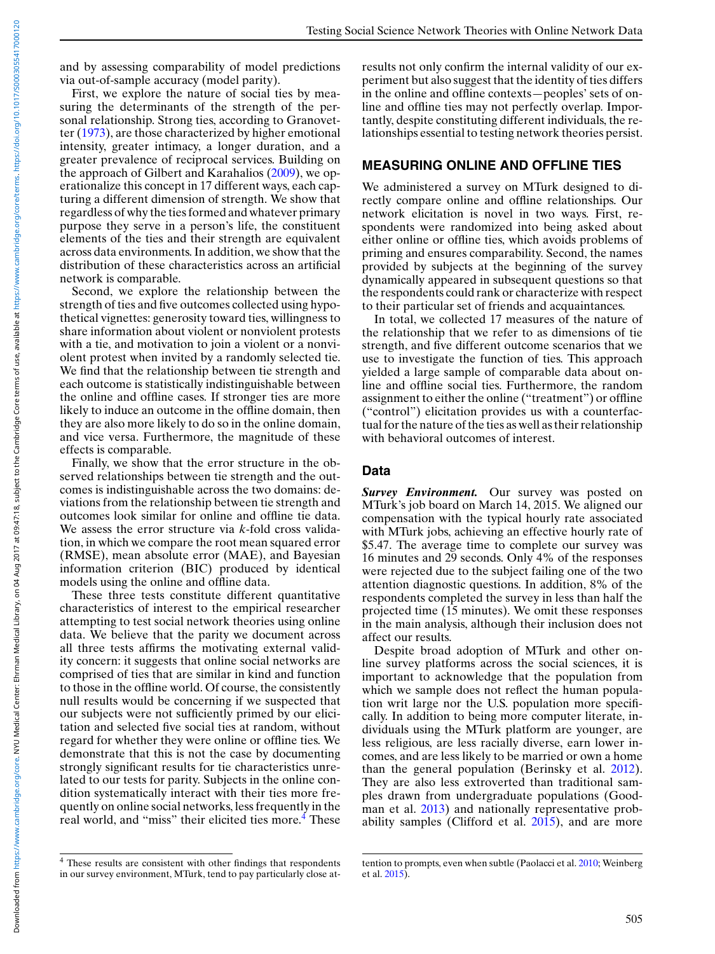and by assessing comparability of model predictions via out-of-sample accuracy (model parity).

First, we explore the nature of social ties by measuring the determinants of the strength of the personal relationship. Strong ties, according to Granovetter [\(1973\)](#page-18-0), are those characterized by higher emotional intensity, greater intimacy, a longer duration, and a greater prevalence of reciprocal services. Building on the approach of Gilbert and Karahalios [\(2009\)](#page-18-0), we operationalize this concept in 17 different ways, each capturing a different dimension of strength. We show that regardless of why the ties formed and whatever primary purpose they serve in a person's life, the constituent elements of the ties and their strength are equivalent across data environments. In addition, we show that the distribution of these characteristics across an artificial network is comparable.

Second, we explore the relationship between the strength of ties and five outcomes collected using hypothetical vignettes: generosity toward ties, willingness to share information about violent or nonviolent protests with a tie, and motivation to join a violent or a nonviolent protest when invited by a randomly selected tie. We find that the relationship between tie strength and each outcome is statistically indistinguishable between the online and offline cases. If stronger ties are more likely to induce an outcome in the offline domain, then they are also more likely to do so in the online domain, and vice versa. Furthermore, the magnitude of these effects is comparable.

Finally, we show that the error structure in the observed relationships between tie strength and the outcomes is indistinguishable across the two domains: deviations from the relationship between tie strength and outcomes look similar for online and offline tie data. We assess the error structure via *k*-fold cross validation, in which we compare the root mean squared error (RMSE), mean absolute error (MAE), and Bayesian information criterion (BIC) produced by identical models using the online and offline data.

These three tests constitute different quantitative characteristics of interest to the empirical researcher attempting to test social network theories using online data. We believe that the parity we document across all three tests affirms the motivating external validity concern: it suggests that online social networks are comprised of ties that are similar in kind and function to those in the offline world. Of course, the consistently null results would be concerning if we suspected that our subjects were not sufficiently primed by our elicitation and selected five social ties at random, without regard for whether they were online or offline ties. We demonstrate that this is not the case by documenting strongly significant results for tie characteristics unrelated to our tests for parity. Subjects in the online condition systematically interact with their ties more frequently on online social networks, less frequently in the real world, and "miss" their elicited ties more.<sup>4</sup> These

results not only confirm the internal validity of our experiment but also suggest that the identity of ties differs in the online and offline contexts—peoples' sets of online and offline ties may not perfectly overlap. Importantly, despite constituting different individuals, the relationships essential to testing network theories persist.

#### **MEASURING ONLINE AND OFFLINE TIES**

We administered a survey on MTurk designed to directly compare online and offline relationships. Our network elicitation is novel in two ways. First, respondents were randomized into being asked about either online or offline ties, which avoids problems of priming and ensures comparability. Second, the names provided by subjects at the beginning of the survey dynamically appeared in subsequent questions so that the respondents could rank or characterize with respect to their particular set of friends and acquaintances.

In total, we collected 17 measures of the nature of the relationship that we refer to as dimensions of tie strength, and five different outcome scenarios that we use to investigate the function of ties. This approach yielded a large sample of comparable data about online and offline social ties. Furthermore, the random assignment to either the online ("treatment") or offline ("control") elicitation provides us with a counterfactual for the nature of the ties as well as their relationship with behavioral outcomes of interest.

#### **Data**

*Survey Environment.* Our survey was posted on MTurk's job board on March 14, 2015. We aligned our compensation with the typical hourly rate associated with MTurk jobs, achieving an effective hourly rate of \$5.47. The average time to complete our survey was 16 minutes and 29 seconds. Only 4% of the responses were rejected due to the subject failing one of the two attention diagnostic questions. In addition, 8% of the respondents completed the survey in less than half the projected time (15 minutes). We omit these responses in the main analysis, although their inclusion does not affect our results.

Despite broad adoption of MTurk and other online survey platforms across the social sciences, it is important to acknowledge that the population from which we sample does not reflect the human population writ large nor the U.S. population more specifically. In addition to being more computer literate, individuals using the MTurk platform are younger, are less religious, are less racially diverse, earn lower incomes, and are less likely to be married or own a home than the general population (Berinsky et al. [2012\)](#page-18-0). They are also less extroverted than traditional samples drawn from undergraduate populations (Good-man et al. [2013\)](#page-18-0) and nationally representative probability samples (Clifford et al. [2015\)](#page-18-0), and are more

<sup>4</sup> These results are consistent with other findings that respondents in our survey environment, MTurk, tend to pay particularly close at-

tention to prompts, even when subtle (Paolacci et al. [2010;](#page-19-0) Weinberg et al. [2015\)](#page-19-0).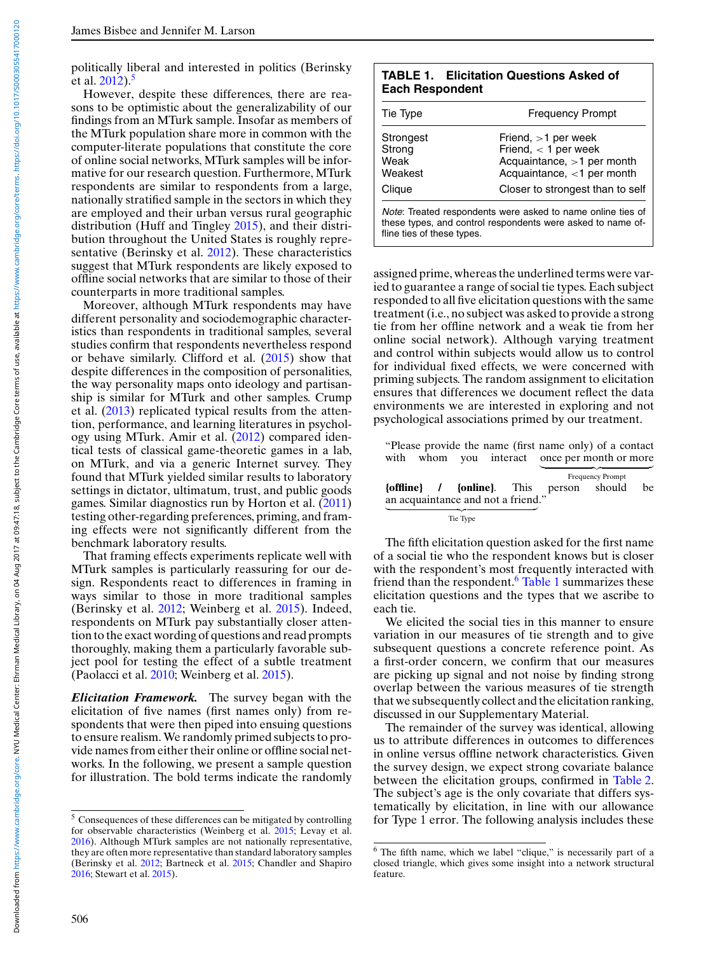<span id="page-4-0"></span>politically liberal and interested in politics (Berinsky et al.  $2012$ ).<sup>5</sup>

However, despite these differences, there are reasons to be optimistic about the generalizability of our findings from an MTurk sample. Insofar as members of the MTurk population share more in common with the computer-literate populations that constitute the core of online social networks, MTurk samples will be informative for our research question. Furthermore, MTurk respondents are similar to respondents from a large, nationally stratified sample in the sectors in which they are employed and their urban versus rural geographic distribution (Huff and Tingley [2015\)](#page-19-0), and their distribution throughout the United States is roughly representative (Berinsky et al. [2012\)](#page-18-0). These characteristics suggest that MTurk respondents are likely exposed to offline social networks that are similar to those of their counterparts in more traditional samples.

Moreover, although MTurk respondents may have different personality and sociodemographic characteristics than respondents in traditional samples, several studies confirm that respondents nevertheless respond or behave similarly. Clifford et al. [\(2015\)](#page-18-0) show that despite differences in the composition of personalities, the way personality maps onto ideology and partisanship is similar for MTurk and other samples. Crump et al. [\(2013\)](#page-18-0) replicated typical results from the attention, performance, and learning literatures in psychology using MTurk. Amir et al. [\(2012\)](#page-18-0) compared identical tests of classical game-theoretic games in a lab, on MTurk, and via a generic Internet survey. They found that MTurk yielded similar results to laboratory settings in dictator, ultimatum, trust, and public goods games. Similar diagnostics run by Horton et al. [\(2011\)](#page-19-0) testing other-regarding preferences, priming, and framing effects were not significantly different from the benchmark laboratory results.

That framing effects experiments replicate well with MTurk samples is particularly reassuring for our design. Respondents react to differences in framing in ways similar to those in more traditional samples (Berinsky et al. [2012;](#page-18-0) Weinberg et al. [2015\)](#page-19-0). Indeed, respondents on MTurk pay substantially closer attention to the exact wording of questions and read prompts thoroughly, making them a particularly favorable subject pool for testing the effect of a subtle treatment (Paolacci et al. [2010;](#page-19-0) Weinberg et al. [2015\)](#page-19-0).

*Elicitation Framework.* The survey began with the elicitation of five names (first names only) from respondents that were then piped into ensuing questions to ensure realism.We randomly primed subjects to provide names from either their online or offline social networks. In the following, we present a sample question for illustration. The bold terms indicate the randomly

|                        | <b>TABLE 1. Elicitation Questions Asked of</b> |
|------------------------|------------------------------------------------|
| <b>Each Respondent</b> |                                                |

| Tie Type                                         | <b>Frequency Prompt</b>                                                                                                                            |
|--------------------------------------------------|----------------------------------------------------------------------------------------------------------------------------------------------------|
| Strongest<br>Strong<br>Weak<br>Weakest<br>Clique | Friend, $>1$ per week<br>Friend, $<$ 1 per week<br>Acquaintance, >1 per month<br>Acquaintance, $<$ 1 per month<br>Closer to strongest than to self |
| fline ties of these types.                       | Note: Treated respondents were asked to name online ties of<br>these types, and control respondents were asked to name of-                         |

assigned prime, whereas the underlined terms were varied to guarantee a range of social tie types. Each subject responded to all five elicitation questions with the same treatment (i.e., no subject was asked to provide a strong tie from her offline network and a weak tie from her online social network). Although varying treatment and control within subjects would allow us to control for individual fixed effects, we were concerned with priming subjects. The random assignment to elicitation ensures that differences we document reflect the data environments we are interested in exploring and not psychological associations primed by our treatment.

|  |                                    | "Please provide the name (first name only) of a contact<br>with whom you interact once per month or more |                         |    |
|--|------------------------------------|----------------------------------------------------------------------------------------------------------|-------------------------|----|
|  |                                    | <b>{offline}</b> / {online}. This person should                                                          | <b>Frequency Prompt</b> | be |
|  | an acquaintance and not a friend." |                                                                                                          |                         |    |
|  | Tie Type                           |                                                                                                          |                         |    |

The fifth elicitation question asked for the first name of a social tie who the respondent knows but is closer with the respondent's most frequently interacted with friend than the respondent.<sup>6</sup> Table 1 summarizes these elicitation questions and the types that we ascribe to each tie.

We elicited the social ties in this manner to ensure variation in our measures of tie strength and to give subsequent questions a concrete reference point. As a first-order concern, we confirm that our measures are picking up signal and not noise by finding strong overlap between the various measures of tie strength that we subsequently collect and the elicitation ranking, discussed in our Supplementary Material.

The remainder of the survey was identical, allowing us to attribute differences in outcomes to differences in online versus offline network characteristics. Given the survey design, we expect strong covariate balance between the elicitation groups, confirmed in [Table 2.](#page-5-0) The subject's age is the only covariate that differs systematically by elicitation, in line with our allowance for Type 1 error. The following analysis includes these

<sup>5</sup> Consequences of these differences can be mitigated by controlling for observable characteristics (Weinberg et al. [2015;](#page-19-0) Levay et al. [2016\)](#page-19-0). Although MTurk samples are not nationally representative, they are often more representative than standard laboratory samples (Berinsky et al. [2012;](#page-18-0) Bartneck et al. [2015;](#page-18-0) Chandler and Shapiro [2016;](#page-18-0) Stewart et al. [2015\)](#page-19-0).

<sup>6</sup> The fifth name, which we label "clique," is necessarily part of a closed triangle, which gives some insight into a network structural feature.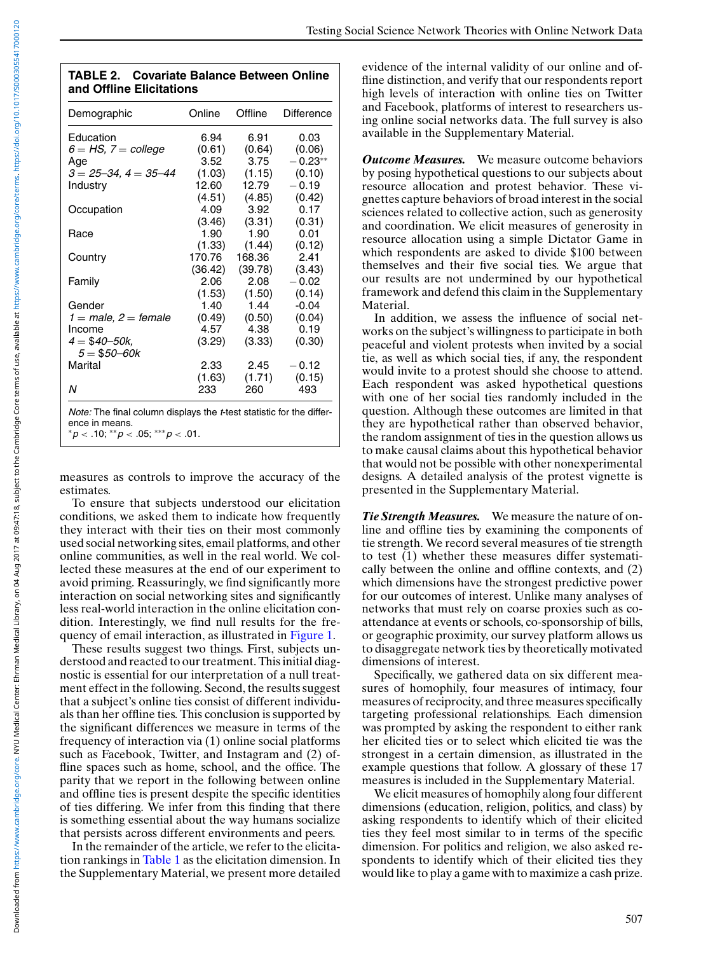<span id="page-5-0"></span>

| <b>TABLE 2. Covariate Balance Between Online</b> |
|--------------------------------------------------|
| and Offline Elicitations                         |

| Demographic                                                                                                                          | Online  | Offline | Difference |
|--------------------------------------------------------------------------------------------------------------------------------------|---------|---------|------------|
| Education                                                                                                                            | 6.94    | 6.91    | 0.03       |
| $6 = HS$ , $7 = college$                                                                                                             | (0.61)  | (0.64)  | (0.06)     |
| Age                                                                                                                                  | 3.52    | 3.75    | $-0.23**$  |
| $3 = 25 - 34$ , $4 = 35 - 44$                                                                                                        | (1.03)  | (1.15)  | (0.10)     |
| Industry                                                                                                                             | 12.60   | 12.79   | $-0.19$    |
|                                                                                                                                      | (4.51)  | (4.85)  | (0.42)     |
| Occupation                                                                                                                           | 4.09    | 3.92    | 0.17       |
|                                                                                                                                      | (3.46)  | (3.31)  | (0.31)     |
| Race                                                                                                                                 | 1.90    | 1.90    | 0.01       |
|                                                                                                                                      | (1.33)  | (1.44)  | (0.12)     |
| Country                                                                                                                              | 170.76  | 168.36  | 2.41       |
|                                                                                                                                      | (36.42) | (39.78) | (3.43)     |
| Family                                                                                                                               | 2.06    | 2.08    | $-0.02$    |
|                                                                                                                                      | (1.53)  | (1.50)  | (0.14)     |
| Gender                                                                                                                               | 1.40    | 1.44    | $-0.04$    |
| $1 =$ male, $2 =$ female                                                                                                             | (0.49)  | (0.50)  | (0.04)     |
| Income                                                                                                                               | 4.57    | 4.38    | 0.19       |
| $4 = $40 - 50k,$                                                                                                                     | (3.29)  | (3.33)  | (0.30)     |
| $5 = $50 - 60k$                                                                                                                      |         |         |            |
| Marital                                                                                                                              | 2.33    | 2.45    | $-0.12$    |
|                                                                                                                                      | (1.63)  | (1.71)  | (0.15)     |
| N                                                                                                                                    | 233     | 260     | 493        |
| Note: The final column displays the t-test statistic for the differ-<br>ence in means.<br>* $p < .10;$ ** $p < .05;$ *** $p < .01$ . |         |         |            |

measures as controls to improve the accuracy of the

estimates. To ensure that subjects understood our elicitation conditions, we asked them to indicate how frequently they interact with their ties on their most commonly used social networking sites, email platforms, and other online communities, as well in the real world. We collected these measures at the end of our experiment to avoid priming. Reassuringly, we find significantly more interaction on social networking sites and significantly less real-world interaction in the online elicitation condition. Interestingly, we find null results for the frequency of email interaction, as illustrated in [Figure 1.](#page-6-0)

These results suggest two things. First, subjects understood and reacted to our treatment. This initial diagnostic is essential for our interpretation of a null treatment effect in the following. Second, the results suggest that a subject's online ties consist of different individuals than her offline ties. This conclusion is supported by the significant differences we measure in terms of the frequency of interaction via (1) online social platforms such as Facebook, Twitter, and Instagram and (2) offline spaces such as home, school, and the office. The parity that we report in the following between online and offline ties is present despite the specific identities of ties differing. We infer from this finding that there is something essential about the way humans socialize that persists across different environments and peers.

In the remainder of the article, we refer to the elicitation rankings in [Table 1](#page-4-0) as the elicitation dimension. In the Supplementary Material, we present more detailed evidence of the internal validity of our online and offline distinction, and verify that our respondents report high levels of interaction with online ties on Twitter and Facebook, platforms of interest to researchers using online social networks data. The full survey is also available in the Supplementary Material.

*Outcome Measures.* We measure outcome behaviors by posing hypothetical questions to our subjects about resource allocation and protest behavior. These vignettes capture behaviors of broad interest in the social sciences related to collective action, such as generosity and coordination. We elicit measures of generosity in resource allocation using a simple Dictator Game in which respondents are asked to divide \$100 between themselves and their five social ties. We argue that our results are not undermined by our hypothetical framework and defend this claim in the Supplementary Material.

In addition, we assess the influence of social networks on the subject's willingness to participate in both peaceful and violent protests when invited by a social tie, as well as which social ties, if any, the respondent would invite to a protest should she choose to attend. Each respondent was asked hypothetical questions with one of her social ties randomly included in the question. Although these outcomes are limited in that they are hypothetical rather than observed behavior, the random assignment of ties in the question allows us to make causal claims about this hypothetical behavior that would not be possible with other nonexperimental designs. A detailed analysis of the protest vignette is presented in the Supplementary Material.

*Tie Strength Measures.* We measure the nature of online and offline ties by examining the components of tie strength. We record several measures of tie strength to test (1) whether these measures differ systematically between the online and offline contexts, and (2) which dimensions have the strongest predictive power for our outcomes of interest. Unlike many analyses of networks that must rely on coarse proxies such as coattendance at events or schools, co-sponsorship of bills, or geographic proximity, our survey platform allows us to disaggregate network ties by theoretically motivated dimensions of interest.

Specifically, we gathered data on six different measures of homophily, four measures of intimacy, four measures of reciprocity, and three measures specifically targeting professional relationships. Each dimension was prompted by asking the respondent to either rank her elicited ties or to select which elicited tie was the strongest in a certain dimension, as illustrated in the example questions that follow. A glossary of these 17 measures is included in the Supplementary Material.

We elicit measures of homophily along four different dimensions (education, religion, politics, and class) by asking respondents to identify which of their elicited ties they feel most similar to in terms of the specific dimension. For politics and religion, we also asked respondents to identify which of their elicited ties they would like to play a game with to maximize a cash prize.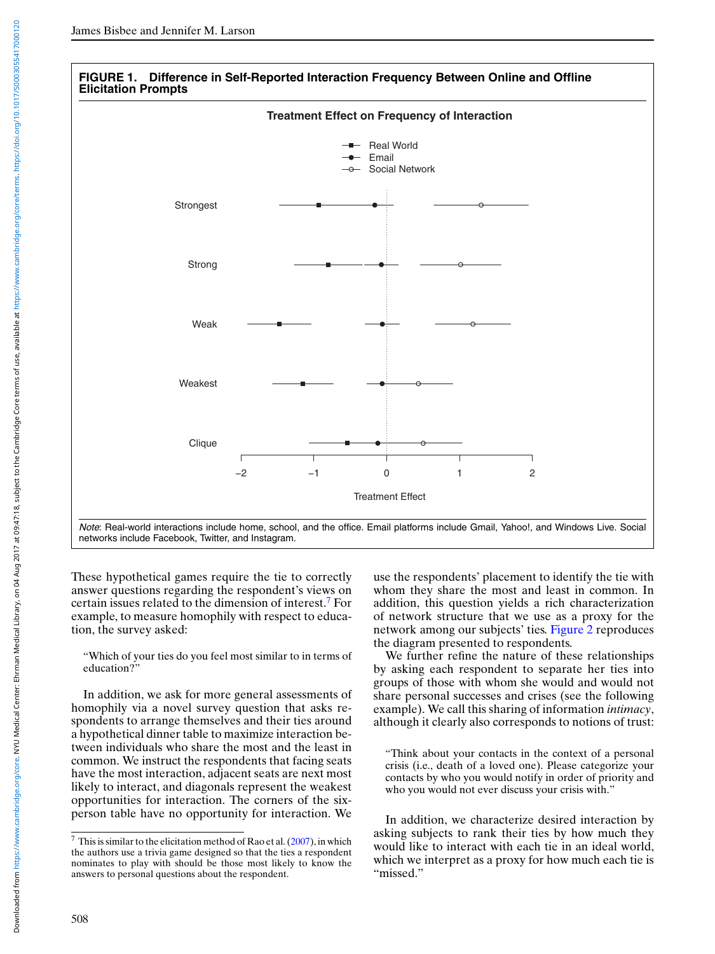<span id="page-6-0"></span>



"Which of your ties do you feel most similar to in terms of education?"

In addition, we ask for more general assessments of homophily via a novel survey question that asks respondents to arrange themselves and their ties around a hypothetical dinner table to maximize interaction between individuals who share the most and the least in common. We instruct the respondents that facing seats have the most interaction, adjacent seats are next most likely to interact, and diagonals represent the weakest opportunities for interaction. The corners of the sixperson table have no opportunity for interaction. We

use the respondents' placement to identify the tie with whom they share the most and least in common. In addition, this question yields a rich characterization of network structure that we use as a proxy for the network among our subjects' ties. [Figure 2](#page-7-0) reproduces the diagram presented to respondents.

We further refine the nature of these relationships by asking each respondent to separate her ties into groups of those with whom she would and would not share personal successes and crises (see the following example). We call this sharing of information *intimacy*, although it clearly also corresponds to notions of trust:

"Think about your contacts in the context of a personal crisis (i.e., death of a loved one). Please categorize your contacts by who you would notify in order of priority and who you would not ever discuss your crisis with."

In addition, we characterize desired interaction by asking subjects to rank their ties by how much they would like to interact with each tie in an ideal world, which we interpret as a proxy for how much each tie is "missed."

 $7$  This is similar to the elicitation method of Rao et al. [\(2007\)](#page-19-0), in which the authors use a trivia game designed so that the ties a respondent nominates to play with should be those most likely to know the answers to personal questions about the respondent.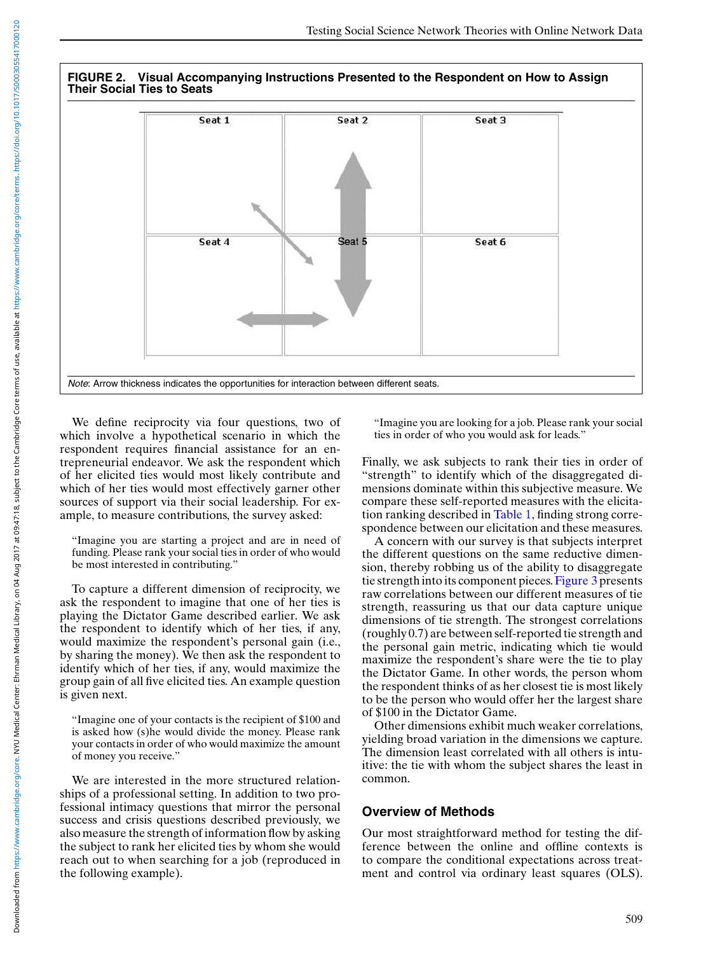<span id="page-7-0"></span>

We define reciprocity via four questions, two of which involve a hypothetical scenario in which the respondent requires financial assistance for an entrepreneurial endeavor. We ask the respondent which of her elicited ties would most likely contribute and which of her ties would most effectively garner other sources of support via their social leadership. For example, to measure contributions, the survey asked:

"Imagine you are starting a project and are in need of funding. Please rank your social ties in order of who would be most interested in contributing."

To capture a different dimension of reciprocity, we ask the respondent to imagine that one of her ties is playing the Dictator Game described earlier. We ask the respondent to identify which of her ties, if any, would maximize the respondent's personal gain (i.e., by sharing the money). We then ask the respondent to identify which of her ties, if any, would maximize the group gain of all five elicited ties. An example question is given next.

"Imagine one of your contacts is the recipient of \$100 and is asked how (s)he would divide the money. Please rank your contacts in order of who would maximize the amount of money you receive."

We are interested in the more structured relationships of a professional setting. In addition to two professional intimacy questions that mirror the personal success and crisis questions described previously, we also measure the strength of information flow by asking the subject to rank her elicited ties by whom she would reach out to when searching for a job (reproduced in the following example).

"Imagine you are looking for a job. Please rank your social ties in order of who you would ask for leads."

Finally, we ask subjects to rank their ties in order of "strength" to identify which of the disaggregated dimensions dominate within this subjective measure. We compare these self-reported measures with the elicitation ranking described in [Table 1,](#page-4-0) finding strong correspondence between our elicitation and these measures.

A concern with our survey is that subjects interpret the different questions on the same reductive dimension, thereby robbing us of the ability to disaggregate tie strength into its component pieces. [Figure 3](#page-8-0) presents raw correlations between our different measures of tie strength, reassuring us that our data capture unique dimensions of tie strength. The strongest correlations (roughly 0.7) are between self-reported tie strength and the personal gain metric, indicating which tie would maximize the respondent's share were the tie to play the Dictator Game. In other words, the person whom the respondent thinks of as her closest tie is most likely to be the person who would offer her the largest share of \$100 in the Dictator Game.

Other dimensions exhibit much weaker correlations, yielding broad variation in the dimensions we capture. The dimension least correlated with all others is intuitive: the tie with whom the subject shares the least in common.

#### **Overview of Methods**

Our most straightforward method for testing the difference between the online and offline contexts is to compare the conditional expectations across treatment and control via ordinary least squares (OLS).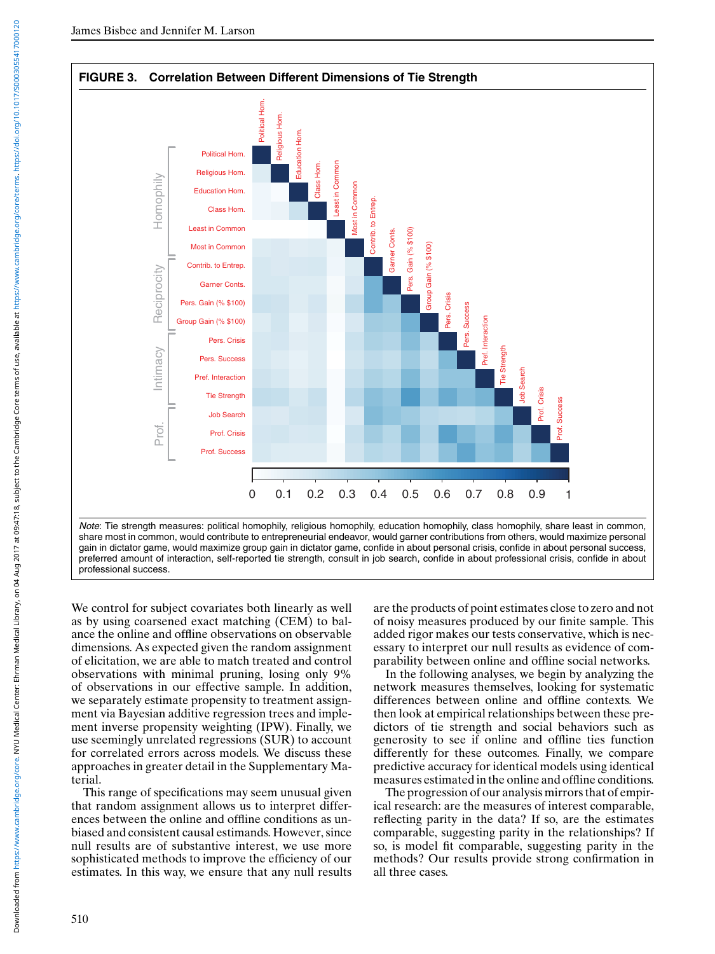<span id="page-8-0"></span>

We control for subject covariates both linearly as well as by using coarsened exact matching (CEM) to balance the online and offline observations on observable dimensions. As expected given the random assignment of elicitation, we are able to match treated and control observations with minimal pruning, losing only 9% of observations in our effective sample. In addition, we separately estimate propensity to treatment assignment via Bayesian additive regression trees and implement inverse propensity weighting (IPW). Finally, we use seemingly unrelated regressions (SUR) to account for correlated errors across models. We discuss these approaches in greater detail in the Supplementary Material.

This range of specifications may seem unusual given that random assignment allows us to interpret differences between the online and offline conditions as unbiased and consistent causal estimands. However, since null results are of substantive interest, we use more sophisticated methods to improve the efficiency of our estimates. In this way, we ensure that any null results are the products of point estimates close to zero and not of noisy measures produced by our finite sample. This added rigor makes our tests conservative, which is necessary to interpret our null results as evidence of comparability between online and offline social networks.

In the following analyses, we begin by analyzing the network measures themselves, looking for systematic differences between online and offline contexts. We then look at empirical relationships between these predictors of tie strength and social behaviors such as generosity to see if online and offline ties function differently for these outcomes. Finally, we compare predictive accuracy for identical models using identical measures estimated in the online and offline conditions.

The progression of our analysis mirrors that of empirical research: are the measures of interest comparable, reflecting parity in the data? If so, are the estimates comparable, suggesting parity in the relationships? If so, is model fit comparable, suggesting parity in the methods? Our results provide strong confirmation in all three cases.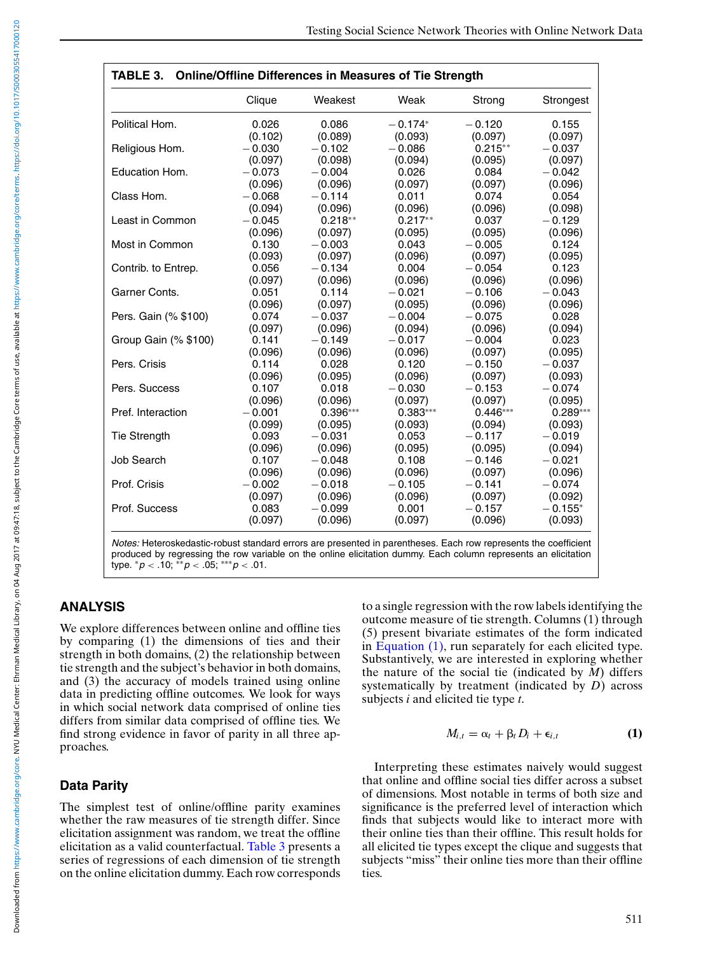<span id="page-9-0"></span>

|                      | Clique   | Weakest    | Weak       | Strong     | Strongest  |
|----------------------|----------|------------|------------|------------|------------|
| Political Hom.       | 0.026    | 0.086      | $-0.174*$  | $-0.120$   | 0.155      |
|                      | (0.102)  | (0.089)    | (0.093)    | (0.097)    | (0.097)    |
| Religious Hom.       | $-0.030$ | $-0.102$   | $-0.086$   | $0.215**$  | $-0.037$   |
|                      | (0.097)  | (0.098)    | (0.094)    | (0.095)    | (0.097)    |
| Education Hom.       | $-0.073$ | $-0.004$   | 0.026      | 0.084      | $-0.042$   |
|                      | (0.096)  | (0.096)    | (0.097)    | (0.097)    | (0.096)    |
| Class Hom.           | $-0.068$ | $-0.114$   | 0.011      | 0.074      | 0.054      |
|                      | (0.094)  | (0.096)    | (0.096)    | (0.096)    | (0.098)    |
| Least in Common      | $-0.045$ | $0.218**$  | $0.217**$  | 0.037      | $-0.129$   |
|                      | (0.096)  | (0.097)    | (0.095)    | (0.095)    | (0.096)    |
| Most in Common       | 0.130    | $-0.003$   | 0.043      | $-0.005$   | 0.124      |
|                      | (0.093)  | (0.097)    | (0.096)    | (0.097)    | (0.095)    |
| Contrib. to Entrep.  | 0.056    | $-0.134$   | 0.004      | $-0.054$   | 0.123      |
|                      | (0.097)  | (0.096)    | (0.096)    | (0.096)    | (0.096)    |
| Garner Conts.        | 0.051    | 0.114      | $-0.021$   | $-0.106$   | $-0.043$   |
|                      | (0.096)  | (0.097)    | (0.095)    | (0.096)    | (0.096)    |
| Pers. Gain (% \$100) | 0.074    | $-0.037$   | $-0.004$   | $-0.075$   | 0.028      |
|                      | (0.097)  | (0.096)    | (0.094)    | (0.096)    | (0.094)    |
| Group Gain (% \$100) | 0.141    | $-0.149$   | $-0.017$   | $-0.004$   | 0.023      |
|                      | (0.096)  | (0.096)    | (0.096)    | (0.097)    | (0.095)    |
| Pers. Crisis         | 0.114    | 0.028      | 0.120      | $-0.150$   | $-0.037$   |
|                      | (0.096)  | (0.095)    | (0.096)    | (0.097)    | (0.093)    |
| Pers. Success        | 0.107    | 0.018      | $-0.030$   | $-0.153$   | $-0.074$   |
|                      | (0.096)  | (0.096)    | (0.097)    | (0.097)    | (0.095)    |
| Pref. Interaction    | $-0.001$ | $0.396***$ | $0.383***$ | $0.446***$ | $0.289***$ |
|                      | (0.099)  | (0.095)    | (0.093)    | (0.094)    | (0.093)    |
| <b>Tie Strength</b>  | 0.093    | $-0.031$   | 0.053      | $-0.117$   | $-0.019$   |
|                      | (0.096)  | (0.096)    | (0.095)    | (0.095)    | (0.094)    |
| Job Search           | 0.107    | $-0.048$   | 0.108      | $-0.146$   | $-0.021$   |
|                      | (0.096)  | (0.096)    | (0.096)    | (0.097)    | (0.096)    |
| Prof. Crisis         | $-0.002$ | $-0.018$   | $-0.105$   | $-0.141$   | $-0.074$   |
|                      | (0.097)  | (0.096)    | (0.096)    | (0.097)    | (0.092)    |
| Prof. Success        | 0.083    | $-0.099$   | 0.001      | $-0.157$   | $-0.155*$  |
|                      | (0.097)  | (0.096)    | (0.097)    | (0.096)    | (0.093)    |

*Notes:* Heteroskedastic-robust standard errors are presented in parentheses. Each row represents the coefficient produced by regressing the row variable on the online elicitation dummy. Each column represents an elicitation type. ∗*p* < .10; ∗∗*p* < .05; ∗∗∗*p* < .01.

# **ANALYSIS**

We explore differences between online and offline ties by comparing (1) the dimensions of ties and their strength in both domains, (2) the relationship between tie strength and the subject's behavior in both domains, and (3) the accuracy of models trained using online data in predicting offline outcomes. We look for ways in which social network data comprised of online ties differs from similar data comprised of offline ties. We find strong evidence in favor of parity in all three approaches.

# **Data Parity**

The simplest test of online/offline parity examines whether the raw measures of tie strength differ. Since elicitation assignment was random, we treat the offline elicitation as a valid counterfactual. Table 3 presents a series of regressions of each dimension of tie strength on the online elicitation dummy. Each row corresponds to a single regression with the row labels identifying the outcome measure of tie strength. Columns (1) through (5) present bivariate estimates of the form indicated in Equation (1), run separately for each elicited type. Substantively, we are interested in exploring whether the nature of the social tie (indicated by *M*) differs systematically by treatment (indicated by *D*) across subjects *i* and elicited tie type *t*.

$$
M_{i,t} = \alpha_t + \beta_t D_i + \epsilon_{i,t} \tag{1}
$$

Interpreting these estimates naively would suggest that online and offline social ties differ across a subset of dimensions. Most notable in terms of both size and significance is the preferred level of interaction which finds that subjects would like to interact more with their online ties than their offline. This result holds for all elicited tie types except the clique and suggests that subjects "miss" their online ties more than their offline ties.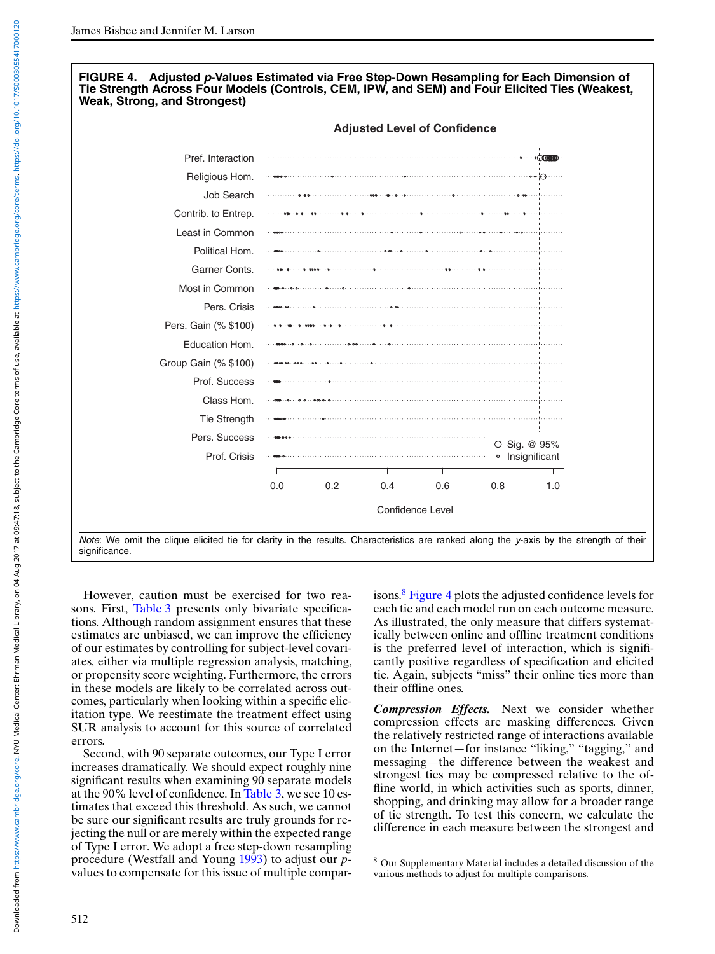#### **FIGURE 4. Adjusted** *p***-Values Estimated via Free Step-Down Resampling for Each Dimension of Tie Strength Across Four Models (Controls, CEM, IPW, and SEM) and Four Elicited Ties (Weakest, Weak, Strong, and Strongest)**



However, caution must be exercised for two rea-sons. First, [Table 3](#page-9-0) presents only bivariate specifications. Although random assignment ensures that these estimates are unbiased, we can improve the efficiency of our estimates by controlling for subject-level covariates, either via multiple regression analysis, matching, or propensity score weighting. Furthermore, the errors in these models are likely to be correlated across outcomes, particularly when looking within a specific elicitation type. We reestimate the treatment effect using SUR analysis to account for this source of correlated errors.

Second, with 90 separate outcomes, our Type I error increases dramatically. We should expect roughly nine significant results when examining 90 separate models at the 90% level of confidence. In [Table 3,](#page-9-0) we see 10 estimates that exceed this threshold. As such, we cannot be sure our significant results are truly grounds for rejecting the null or are merely within the expected range of Type I error. We adopt a free step-down resampling procedure (Westfall and Young [1993\)](#page-19-0) to adjust our *p*values to compensate for this issue of multiple comparisons.<sup>8</sup> Figure 4 plots the adjusted confidence levels for each tie and each model run on each outcome measure. As illustrated, the only measure that differs systematically between online and offline treatment conditions is the preferred level of interaction, which is significantly positive regardless of specification and elicited tie. Again, subjects "miss" their online ties more than their offline ones.

*Compression Effects.* Next we consider whether compression effects are masking differences. Given the relatively restricted range of interactions available on the Internet—for instance "liking," "tagging," and messaging—the difference between the weakest and strongest ties may be compressed relative to the offline world, in which activities such as sports, dinner, shopping, and drinking may allow for a broader range of tie strength. To test this concern, we calculate the difference in each measure between the strongest and

<sup>8</sup> Our Supplementary Material includes a detailed discussion of the various methods to adjust for multiple comparisons.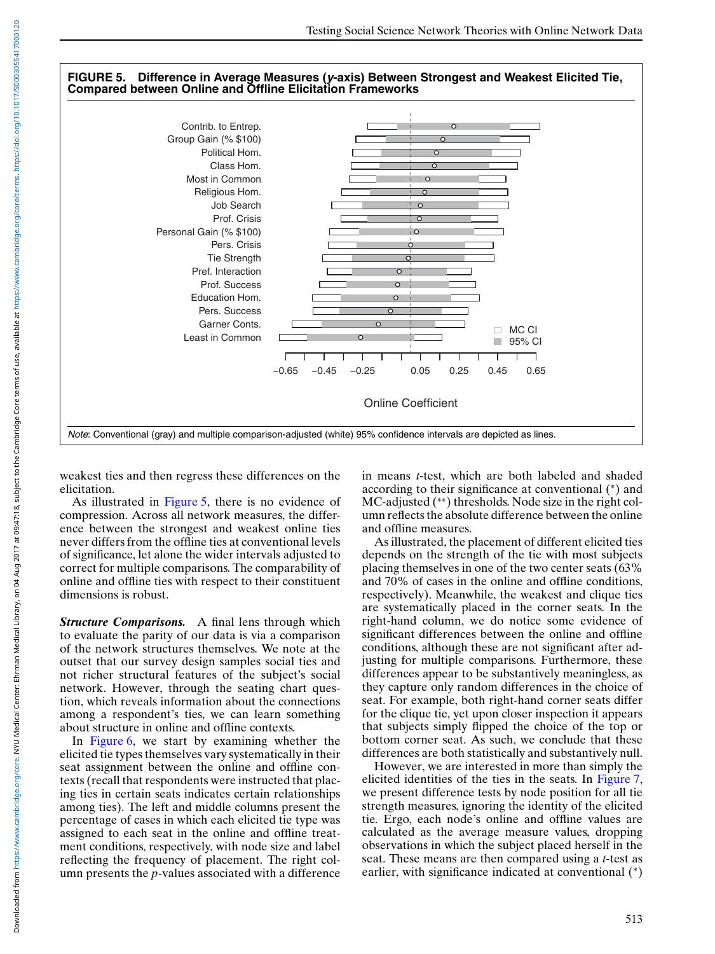#### **FIGURE 5. Difference in Average Measures (***y***-axis) Between Strongest and Weakest Elicited Tie, Compared between Online and Offline Elicitation Frameworks**



weakest ties and then regress these differences on the elicitation.

As illustrated in Figure 5, there is no evidence of compression. Across all network measures, the difference between the strongest and weakest online ties never differs from the offline ties at conventional levels of significance, let alone the wider intervals adjusted to correct for multiple comparisons. The comparability of online and offline ties with respect to their constituent dimensions is robust.

*Structure Comparisons.* A final lens through which to evaluate the parity of our data is via a comparison of the network structures themselves. We note at the outset that our survey design samples social ties and not richer structural features of the subject's social network. However, through the seating chart question, which reveals information about the connections among a respondent's ties, we can learn something about structure in online and offline contexts.

In [Figure 6,](#page-12-0) we start by examining whether the elicited tie types themselves vary systematically in their seat assignment between the online and offline contexts (recall that respondents were instructed that placing ties in certain seats indicates certain relationships among ties). The left and middle columns present the percentage of cases in which each elicited tie type was assigned to each seat in the online and offline treatment conditions, respectively, with node size and label reflecting the frequency of placement. The right column presents the *p*-values associated with a difference

in means *t*-test, which are both labeled and shaded according to their significance at conventional (∗) and MC-adjusted (∗∗) thresholds. Node size in the right column reflects the absolute difference between the online and offline measures.

As illustrated, the placement of different elicited ties depends on the strength of the tie with most subjects placing themselves in one of the two center seats (63% and 70% of cases in the online and offline conditions, respectively). Meanwhile, the weakest and clique ties are systematically placed in the corner seats. In the right-hand column, we do notice some evidence of significant differences between the online and offline conditions, although these are not significant after adjusting for multiple comparisons. Furthermore, these differences appear to be substantively meaningless, as they capture only random differences in the choice of seat. For example, both right-hand corner seats differ for the clique tie, yet upon closer inspection it appears that subjects simply flipped the choice of the top or bottom corner seat. As such, we conclude that these differences are both statistically and substantively null.

However, we are interested in more than simply the elicited identities of the ties in the seats. In [Figure 7,](#page-13-0) we present difference tests by node position for all tie strength measures, ignoring the identity of the elicited tie. Ergo, each node's online and offline values are calculated as the average measure values, dropping observations in which the subject placed herself in the seat. These means are then compared using a *t*-test as earlier, with significance indicated at conventional (\*)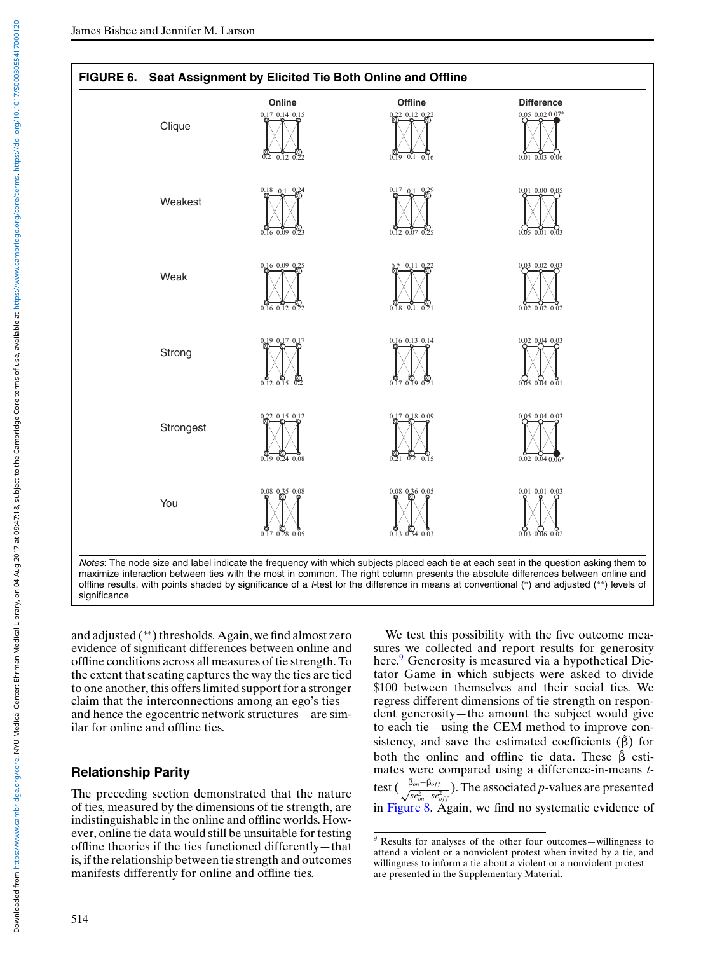<span id="page-12-0"></span>

and adjusted (∗∗) thresholds. Again, we find almost zero evidence of significant differences between online and offline conditions across all measures of tie strength. To the extent that seating captures the way the ties are tied to one another, this offers limited support for a stronger claim that the interconnections among an ego's ties and hence the egocentric network structures—are similar for online and offline ties.

# **Relationship Parity**

The preceding section demonstrated that the nature of ties, measured by the dimensions of tie strength, are indistinguishable in the online and offline worlds. However, online tie data would still be unsuitable for testing offline theories if the ties functioned differently—that is, if the relationship between tie strength and outcomes manifests differently for online and offline ties.

We test this possibility with the five outcome measures we collected and report results for generosity here.<sup>9</sup> Generosity is measured via a hypothetical Dictator Game in which subjects were asked to divide \$100 between themselves and their social ties. We regress different dimensions of tie strength on respondent generosity—the amount the subject would give to each tie—using the CEM method to improve consistency, and save the estimated coefficients  $(\hat{\beta})$  for both the online and offline tie data. These  $\hat{\beta}$  estimates were compared using a difference-in-means *t*test (  $\frac{\hat{\beta}_{on} - \hat{\beta}_{off}}{\sqrt{se^2_{on} + se^2_{off}}}$  ). The associated *p*-values are presented in [Figure 8.](#page-14-0) Again, we find no systematic evidence of

<sup>9</sup> Results for analyses of the other four outcomes—willingness to attend a violent or a nonviolent protest when invited by a tie, and willingness to inform a tie about a violent or a nonviolent protest are presented in the Supplementary Material.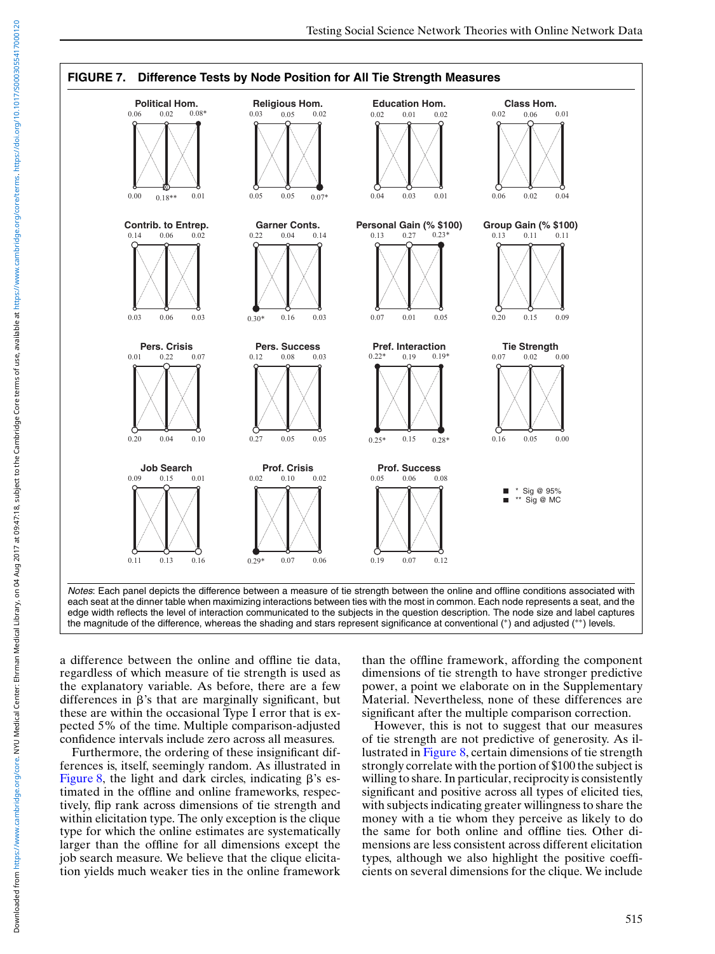<span id="page-13-0"></span>

a difference between the online and offline tie data, regardless of which measure of tie strength is used as the explanatory variable. As before, there are a few differences in  $\beta$ 's that are marginally significant, but these are within the occasional Type I error that is expected 5% of the time. Multiple comparison-adjusted confidence intervals include zero across all measures.

Furthermore, the ordering of these insignificant differences is, itself, seemingly random. As illustrated in [Figure 8,](#page-14-0) the light and dark circles, indicating  $\beta$ 's estimated in the offline and online frameworks, respectively, flip rank across dimensions of tie strength and within elicitation type. The only exception is the clique type for which the online estimates are systematically larger than the offline for all dimensions except the job search measure. We believe that the clique elicitation yields much weaker ties in the online framework than the offline framework, affording the component dimensions of tie strength to have stronger predictive power, a point we elaborate on in the Supplementary Material. Nevertheless, none of these differences are significant after the multiple comparison correction.

However, this is not to suggest that our measures of tie strength are not predictive of generosity. As illustrated in [Figure 8,](#page-14-0) certain dimensions of tie strength strongly correlate with the portion of \$100 the subject is willing to share. In particular, reciprocity is consistently significant and positive across all types of elicited ties, with subjects indicating greater willingness to share the money with a tie whom they perceive as likely to do the same for both online and offline ties. Other dimensions are less consistent across different elicitation types, although we also highlight the positive coefficients on several dimensions for the clique. We include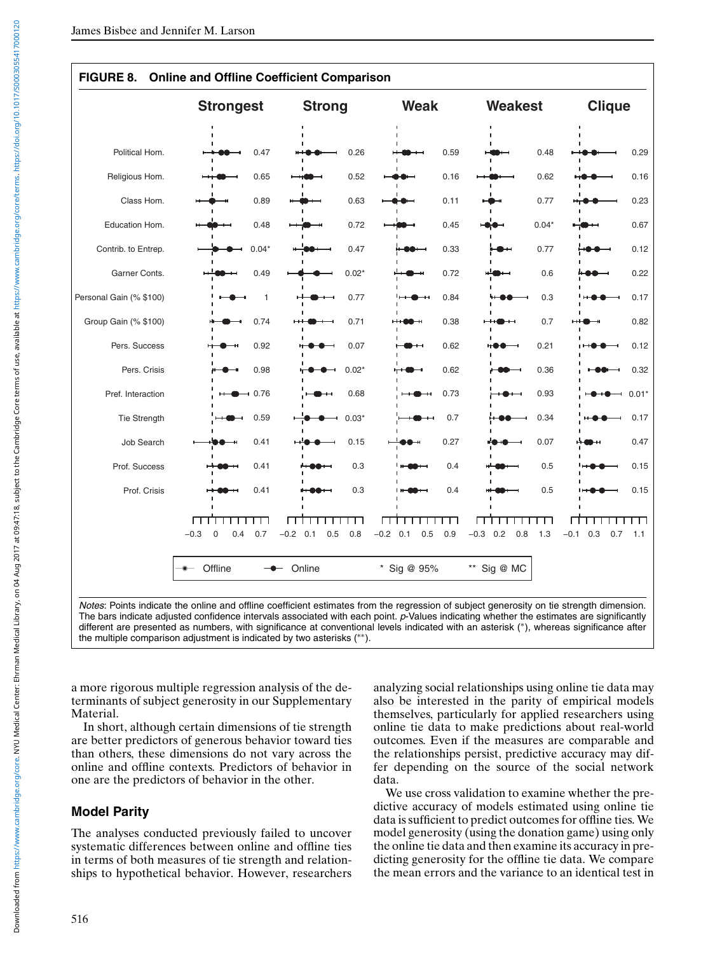<span id="page-14-0"></span>

|                         | <b>Strongest</b>                    | <b>Strong</b>            | <b>Weak</b>              | <b>Weakest</b>           | <b>Clique</b>               |
|-------------------------|-------------------------------------|--------------------------|--------------------------|--------------------------|-----------------------------|
|                         |                                     |                          |                          |                          |                             |
| Political Hom.          | 0.47                                | 0.26                     | 0.59                     | 0.48                     | 0.29                        |
| Religious Hom.          | 0.65                                | 0.52                     | 0.16                     | 0.62                     | 0.16                        |
| Class Hom.              | 0.89                                | 0.63                     | 0.11                     | 0.77                     | 0.23                        |
| Education Hom.          | 0.48                                | 0.72                     | 0.45                     | $0.04*$                  | 0.67                        |
| Contrib. to Entrep.     | $0.04*$                             | 0.47                     | 0.33                     | 0.77                     | 0.12                        |
| Garner Conts.           | 0.49                                | $0.02*$                  | 0.72                     | 0.6                      | 0.22                        |
| Personal Gain (% \$100) | $\mathbf{1}$                        | 0.77                     | 0.84                     | 0.3                      | 0.17                        |
| Group Gain (% \$100)    | 0.74                                | 0.71                     | 0.38                     | 0.7                      | 0.82                        |
| Pers. Success           | 0.92                                | 0.07                     | 0.62                     | 0.21                     | 0.12                        |
| Pers. Crisis            | 0.98                                | $0.02*$                  | 0.62                     | 0.36                     | 0.32                        |
| Pref. Interaction       | 0.76                                | 0.68                     | 0.73                     | 0.93                     | $0.01*$                     |
| Tie Strength            | 0.59                                | $0.03*$                  | 0.7                      | 0.34                     | 0.17                        |
| <b>Job Search</b>       | 0.41                                | 0.15                     | 0.27                     | 0.07                     | 0.47                        |
| Prof. Success           | 0.41                                | 0.3                      | 0.4                      | 0.5                      | 0.15                        |
| Prof. Crisis            | 0.41                                | 0.3                      | 0.4                      | 0.5                      | 0.15                        |
|                         | ᇚ                                   |                          | П                        | Г                        | ┱                           |
|                         | $-0.3$<br>$\mathbf 0$<br>0.4<br>0.7 | $-0.2$ 0.1<br>0.5<br>0.8 | $-0.2$ 0.1<br>0.5<br>0.9 | $-0.3$ 0.2<br>0.8<br>1.3 | $-0.1$<br>0.3<br>0.7<br>1.1 |
|                         | Offline                             | Online                   | * Sig @ 95%              | ** Sig @ MC              |                             |

## **FIGURE 8. Online and Offline Coefficient Comparison**

The bars indicate adjusted confidence intervals associated with each point. *p*-Values indicating whether the estimates are significantly different are presented as numbers, with significance at conventional levels indicated with an asterisk (∗), whereas significance after the multiple comparison adjustment is indicated by two asterisks (∗∗).

a more rigorous multiple regression analysis of the determinants of subject generosity in our Supplementary Material.

In short, although certain dimensions of tie strength are better predictors of generous behavior toward ties than others, these dimensions do not vary across the online and offline contexts. Predictors of behavior in one are the predictors of behavior in the other.

# **Model Parity**

The analyses conducted previously failed to uncover systematic differences between online and offline ties in terms of both measures of tie strength and relationships to hypothetical behavior. However, researchers analyzing social relationships using online tie data may also be interested in the parity of empirical models themselves, particularly for applied researchers using online tie data to make predictions about real-world outcomes. Even if the measures are comparable and the relationships persist, predictive accuracy may differ depending on the source of the social network data.

We use cross validation to examine whether the predictive accuracy of models estimated using online tie data is sufficient to predict outcomes for offline ties. We model generosity (using the donation game) using only the online tie data and then examine its accuracy in predicting generosity for the offline tie data. We compare the mean errors and the variance to an identical test in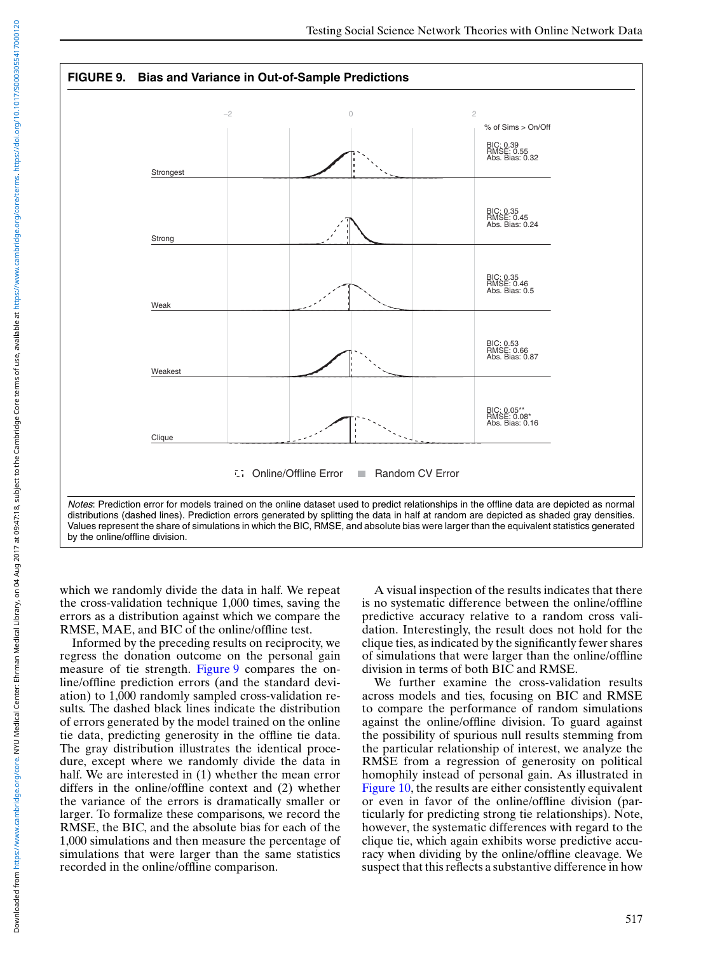

which we randomly divide the data in half. We repeat the cross-validation technique 1,000 times, saving the errors as a distribution against which we compare the RMSE, MAE, and BIC of the online/offline test.

Informed by the preceding results on reciprocity, we regress the donation outcome on the personal gain measure of tie strength. Figure 9 compares the online/offline prediction errors (and the standard deviation) to 1,000 randomly sampled cross-validation results. The dashed black lines indicate the distribution of errors generated by the model trained on the online tie data, predicting generosity in the offline tie data. The gray distribution illustrates the identical procedure, except where we randomly divide the data in half. We are interested in (1) whether the mean error differs in the online/offline context and (2) whether the variance of the errors is dramatically smaller or larger. To formalize these comparisons, we record the RMSE, the BIC, and the absolute bias for each of the 1,000 simulations and then measure the percentage of simulations that were larger than the same statistics recorded in the online/offline comparison.

A visual inspection of the results indicates that there is no systematic difference between the online/offline predictive accuracy relative to a random cross validation. Interestingly, the result does not hold for the clique ties, as indicated by the significantly fewer shares of simulations that were larger than the online/offline division in terms of both BIC and RMSE.

We further examine the cross-validation results across models and ties, focusing on BIC and RMSE to compare the performance of random simulations against the online/offline division. To guard against the possibility of spurious null results stemming from the particular relationship of interest, we analyze the RMSE from a regression of generosity on political homophily instead of personal gain. As illustrated in [Figure 10,](#page-16-0) the results are either consistently equivalent or even in favor of the online/offline division (particularly for predicting strong tie relationships). Note, however, the systematic differences with regard to the clique tie, which again exhibits worse predictive accuracy when dividing by the online/offline cleavage. We suspect that this reflects a substantive difference in how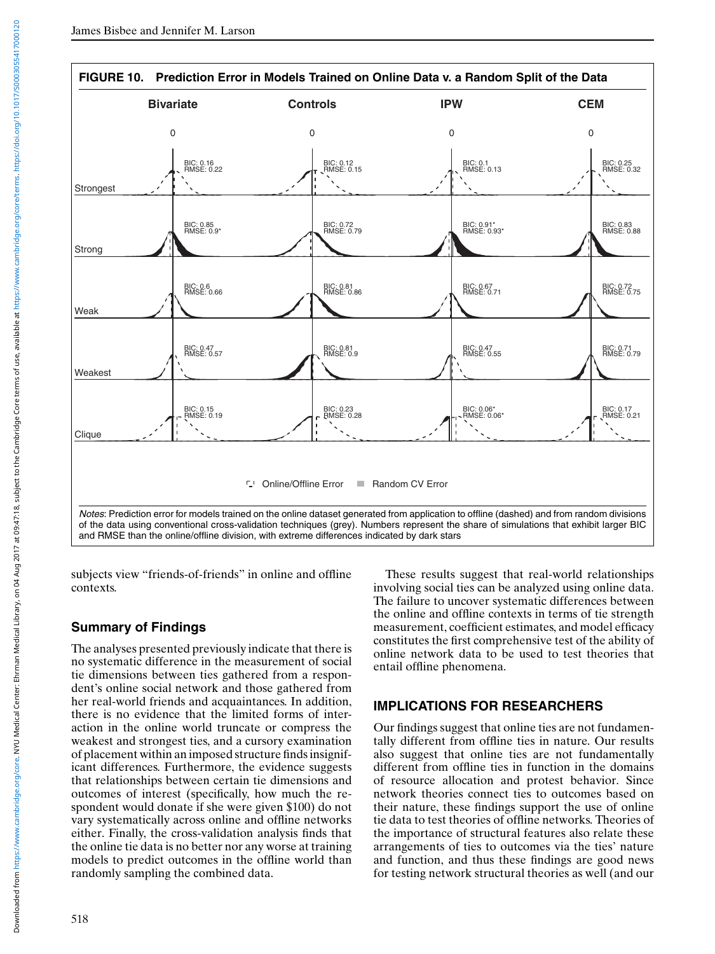<span id="page-16-0"></span>

subjects view "friends-of-friends" in online and offline contexts.

# **Summary of Findings**

The analyses presented previously indicate that there is no systematic difference in the measurement of social tie dimensions between ties gathered from a respondent's online social network and those gathered from her real-world friends and acquaintances. In addition, there is no evidence that the limited forms of interaction in the online world truncate or compress the weakest and strongest ties, and a cursory examination of placement within an imposed structure finds insignificant differences. Furthermore, the evidence suggests that relationships between certain tie dimensions and outcomes of interest (specifically, how much the respondent would donate if she were given \$100) do not vary systematically across online and offline networks either. Finally, the cross-validation analysis finds that the online tie data is no better nor any worse at training models to predict outcomes in the offline world than randomly sampling the combined data.

These results suggest that real-world relationships involving social ties can be analyzed using online data. The failure to uncover systematic differences between the online and offline contexts in terms of tie strength measurement, coefficient estimates, and model efficacy constitutes the first comprehensive test of the ability of online network data to be used to test theories that entail offline phenomena.

# **IMPLICATIONS FOR RESEARCHERS**

Our findings suggest that online ties are not fundamentally different from offline ties in nature. Our results also suggest that online ties are not fundamentally different from offline ties in function in the domains of resource allocation and protest behavior. Since network theories connect ties to outcomes based on their nature, these findings support the use of online tie data to test theories of offline networks. Theories of the importance of structural features also relate these arrangements of ties to outcomes via the ties' nature and function, and thus these findings are good news for testing network structural theories as well (and our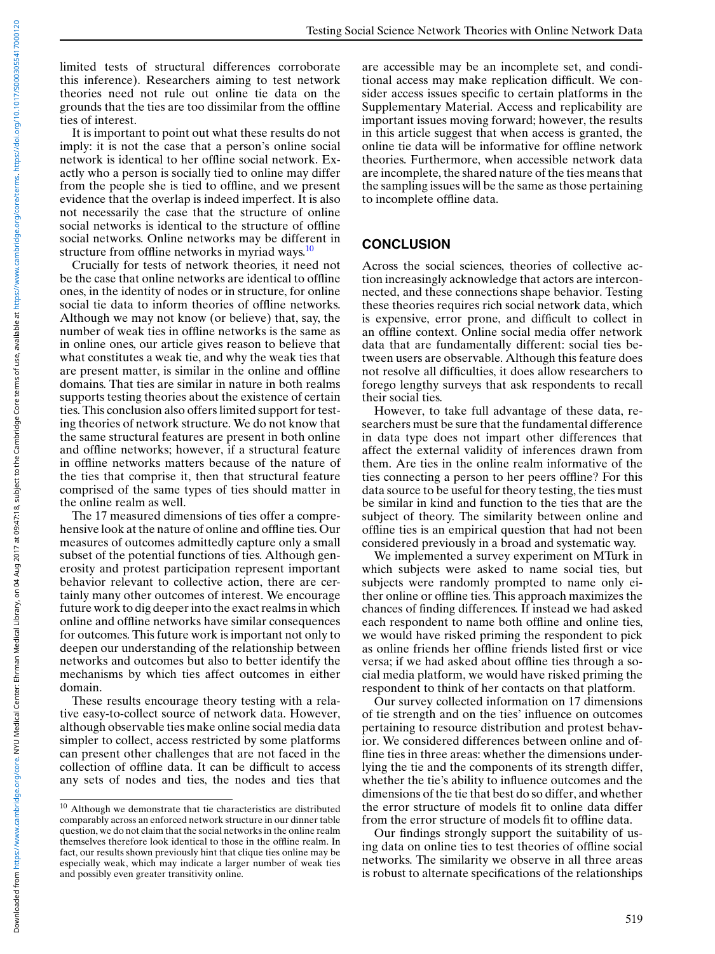limited tests of structural differences corroborate this inference). Researchers aiming to test network theories need not rule out online tie data on the grounds that the ties are too dissimilar from the offline ties of interest.

It is important to point out what these results do not imply: it is not the case that a person's online social network is identical to her offline social network. Exactly who a person is socially tied to online may differ from the people she is tied to offline, and we present evidence that the overlap is indeed imperfect. It is also not necessarily the case that the structure of online social networks is identical to the structure of offline social networks. Online networks may be different in structure from offline networks in myriad ways. $10$ 

Crucially for tests of network theories, it need not be the case that online networks are identical to offline ones, in the identity of nodes or in structure, for online social tie data to inform theories of offline networks. Although we may not know (or believe) that, say, the number of weak ties in offline networks is the same as in online ones, our article gives reason to believe that what constitutes a weak tie, and why the weak ties that are present matter, is similar in the online and offline domains. That ties are similar in nature in both realms supports testing theories about the existence of certain ties. This conclusion also offers limited support for testing theories of network structure. We do not know that the same structural features are present in both online and offline networks; however, if a structural feature in offline networks matters because of the nature of the ties that comprise it, then that structural feature comprised of the same types of ties should matter in the online realm as well.

The 17 measured dimensions of ties offer a comprehensive look at the nature of online and offline ties. Our measures of outcomes admittedly capture only a small subset of the potential functions of ties. Although generosity and protest participation represent important behavior relevant to collective action, there are certainly many other outcomes of interest. We encourage future work to dig deeper into the exact realms in which online and offline networks have similar consequences for outcomes. This future work is important not only to deepen our understanding of the relationship between networks and outcomes but also to better identify the mechanisms by which ties affect outcomes in either domain.

These results encourage theory testing with a relative easy-to-collect source of network data. However, although observable ties make online social media data simpler to collect, access restricted by some platforms can present other challenges that are not faced in the collection of offline data. It can be difficult to access any sets of nodes and ties, the nodes and ties that

are accessible may be an incomplete set, and conditional access may make replication difficult. We consider access issues specific to certain platforms in the Supplementary Material. Access and replicability are important issues moving forward; however, the results in this article suggest that when access is granted, the online tie data will be informative for offline network theories. Furthermore, when accessible network data are incomplete, the shared nature of the ties means that the sampling issues will be the same as those pertaining to incomplete offline data.

#### **CONCLUSION**

Across the social sciences, theories of collective action increasingly acknowledge that actors are interconnected, and these connections shape behavior. Testing these theories requires rich social network data, which is expensive, error prone, and difficult to collect in an offline context. Online social media offer network data that are fundamentally different: social ties between users are observable. Although this feature does not resolve all difficulties, it does allow researchers to forego lengthy surveys that ask respondents to recall their social ties.

However, to take full advantage of these data, researchers must be sure that the fundamental difference in data type does not impart other differences that affect the external validity of inferences drawn from them. Are ties in the online realm informative of the ties connecting a person to her peers offline? For this data source to be useful for theory testing, the ties must be similar in kind and function to the ties that are the subject of theory. The similarity between online and offline ties is an empirical question that had not been considered previously in a broad and systematic way.

We implemented a survey experiment on MTurk in which subjects were asked to name social ties, but subjects were randomly prompted to name only either online or offline ties. This approach maximizes the chances of finding differences. If instead we had asked each respondent to name both offline and online ties, we would have risked priming the respondent to pick as online friends her offline friends listed first or vice versa; if we had asked about offline ties through a social media platform, we would have risked priming the respondent to think of her contacts on that platform.

Our survey collected information on 17 dimensions of tie strength and on the ties' influence on outcomes pertaining to resource distribution and protest behavior. We considered differences between online and offline ties in three areas: whether the dimensions underlying the tie and the components of its strength differ, whether the tie's ability to influence outcomes and the dimensions of the tie that best do so differ, and whether the error structure of models fit to online data differ from the error structure of models fit to offline data.

Our findings strongly support the suitability of using data on online ties to test theories of offline social networks. The similarity we observe in all three areas is robust to alternate specifications of the relationships

 $^{10}$  Although we demonstrate that tie characteristics are distributed comparably across an enforced network structure in our dinner table question, we do not claim that the social networks in the online realm themselves therefore look identical to those in the offline realm. In fact, our results shown previously hint that clique ties online may be especially weak, which may indicate a larger number of weak ties and possibly even greater transitivity online.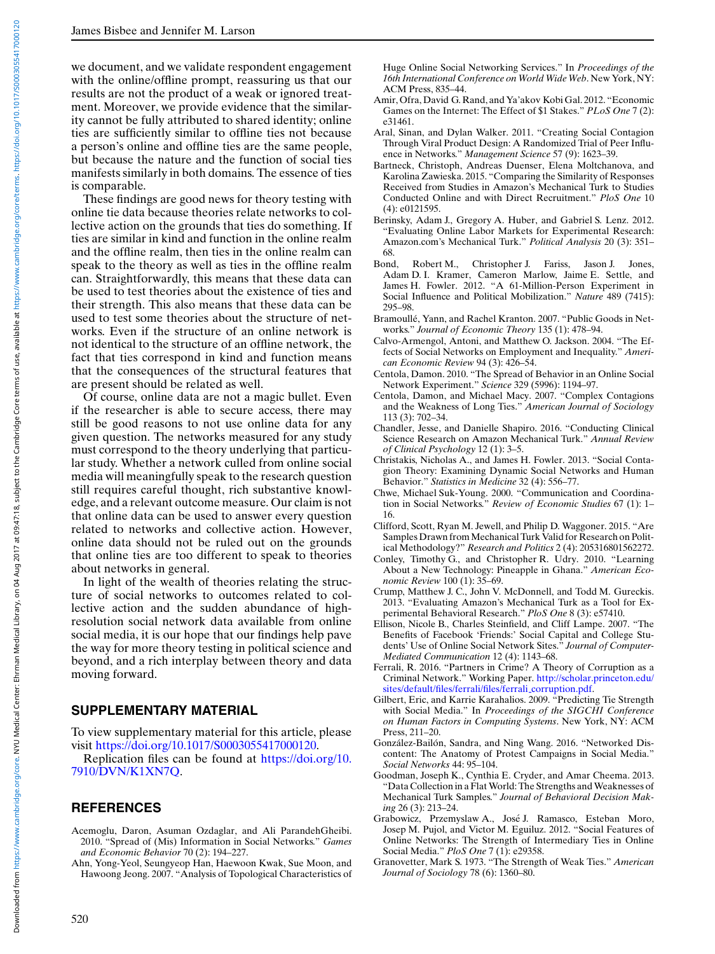<span id="page-18-0"></span>we document, and we validate respondent engagement with the online/offline prompt, reassuring us that our results are not the product of a weak or ignored treatment. Moreover, we provide evidence that the similarity cannot be fully attributed to shared identity; online ties are sufficiently similar to offline ties not because a person's online and offline ties are the same people, but because the nature and the function of social ties manifests similarly in both domains. The essence of ties is comparable.

These findings are good news for theory testing with online tie data because theories relate networks to collective action on the grounds that ties do something. If ties are similar in kind and function in the online realm and the offline realm, then ties in the online realm can speak to the theory as well as ties in the offline realm can. Straightforwardly, this means that these data can be used to test theories about the existence of ties and their strength. This also means that these data can be used to test some theories about the structure of networks. Even if the structure of an online network is not identical to the structure of an offline network, the fact that ties correspond in kind and function means that the consequences of the structural features that are present should be related as well.

Of course, online data are not a magic bullet. Even if the researcher is able to secure access, there may still be good reasons to not use online data for any given question. The networks measured for any study must correspond to the theory underlying that particular study. Whether a network culled from online social media will meaningfully speak to the research question still requires careful thought, rich substantive knowledge, and a relevant outcome measure. Our claim is not that online data can be used to answer every question related to networks and collective action. However, online data should not be ruled out on the grounds that online ties are too different to speak to theories about networks in general.

In light of the wealth of theories relating the structure of social networks to outcomes related to collective action and the sudden abundance of highresolution social network data available from online social media, it is our hope that our findings help pave the way for more theory testing in political science and beyond, and a rich interplay between theory and data moving forward.

### **SUPPLEMENTARY MATERIAL**

To view supplementary material for this article, please visit [https://doi.org/10.1017/S0003055417000120.](https://doi.org/10.1017/S0003055417000120)

Replication files can be found at [https://doi.org/10.](https://doi.org/10.7910/DVN/K1XN7Q) [7910/DVN/K1XN7Q.](https://doi.org/10.7910/DVN/K1XN7Q)

# **REFERENCES**

- Acemoglu, Daron, Asuman Ozdaglar, and Ali ParandehGheibi. 2010. "Spread of (Mis) Information in Social Networks." *Games and Economic Behavior* 70 (2): 194–227.
- Ahn, Yong-Yeol, Seungyeop Han, Haewoon Kwak, Sue Moon, and Hawoong Jeong. 2007. "Analysis of Topological Characteristics of

Huge Online Social Networking Services." In *Proceedings of the 16th International Conference on World Wide Web*. New York, NY: ACM Press, 835–44.

- Amir, Ofra, David G. Rand, and Ya'akov Kobi Gal. 2012. "Economic Games on the Internet: The Effect of \$1 Stakes." *PLoS One* 7 (2): e31461.
- Aral, Sinan, and Dylan Walker. 2011. "Creating Social Contagion Through Viral Product Design: A Randomized Trial of Peer Influence in Networks." *Management Science* 57 (9): 1623–39.
- Bartneck, Christoph, Andreas Duenser, Elena Moltchanova, and Karolina Zawieska. 2015. "Comparing the Similarity of Responses Received from Studies in Amazon's Mechanical Turk to Studies Conducted Online and with Direct Recruitment." *PloS One* 10 (4): e0121595.
- Berinsky, Adam J., Gregory A. Huber, and Gabriel S. Lenz. 2012. "Evaluating Online Labor Markets for Experimental Research: Amazon.com's Mechanical Turk." *Political Analysis* 20 (3): 351–
- 68.<br>Bond, Robert M., Christopher J. Fariss, Jason J. Jones, Adam D. I. Kramer, Cameron Marlow, Jaime E. Settle, and James H. Fowler. 2012. "A 61-Million-Person Experiment in Social Influence and Political Mobilization." *Nature* 489 (7415): 295–98.
- Bramoullé, Yann, and Rachel Kranton. 2007. "Public Goods in Networks." *Journal of Economic Theory* 135 (1): 478–94.
- Calvo-Armengol, Antoni, and Matthew O. Jackson. 2004. "The Effects of Social Networks on Employment and Inequality." *American Economic Review* 94 (3): 426–54.
- Centola, Damon. 2010. "The Spread of Behavior in an Online Social Network Experiment." *Science* 329 (5996): 1194–97.
- Centola, Damon, and Michael Macy. 2007. "Complex Contagions and the Weakness of Long Ties." *American Journal of Sociology* 113 (3): 702–34.
- Chandler, Jesse, and Danielle Shapiro. 2016. "Conducting Clinical Science Research on Amazon Mechanical Turk." *Annual Review of Clinical Psychology* 12 (1): 3–5.
- Christakis, Nicholas A., and James H. Fowler. 2013. "Social Contagion Theory: Examining Dynamic Social Networks and Human Behavior." *Statistics in Medicine* 32 (4): 556–77.
- Chwe, Michael Suk-Young. 2000. "Communication and Coordination in Social Networks." *Review of Economic Studies* 67 (1): 1– 16.
- Clifford, Scott, Ryan M. Jewell, and Philip D. Waggoner. 2015. "Are Samples Drawn from Mechanical Turk Valid for Research on Political Methodology?" *Research and Politics* 2 (4): 205316801562272.
- Conley, Timothy G., and Christopher R. Udry. 2010. "Learning About a New Technology: Pineapple in Ghana." *American Economic Review* 100 (1): 35–69.
- Crump, Matthew J. C., John V. McDonnell, and Todd M. Gureckis. 2013. "Evaluating Amazon's Mechanical Turk as a Tool for Experimental Behavioral Research." *PloS One* 8 (3): e57410.
- Ellison, Nicole B., Charles Steinfield, and Cliff Lampe. 2007. "The Benefits of Facebook 'Friends:' Social Capital and College Students' Use of Online Social Network Sites." *Journal of Computer-Mediated Communication* 12 (4): 1143–68.
- Ferrali, R. 2016. "Partners in Crime? A Theory of Corruption as a Criminal Network." Working Paper. [http://scholar.princeton.edu/](http://scholar.princeton.edu/sites/default/files/ferrali/files/ferrali_corruption.pdf) [sites/default/files/ferrali/files/ferrali](http://scholar.princeton.edu/sites/default/files/ferrali/files/ferrali_corruption.pdf) corruption.pdf.
- Gilbert, Eric, and Karrie Karahalios. 2009. "Predicting Tie Strength with Social Media." In *Proceedings of the SIGCHI Conference on Human Factors in Computing Systems*. New York, NY: ACM Press, 211–20.
- González-Bailón, Sandra, and Ning Wang. 2016. "Networked Discontent: The Anatomy of Protest Campaigns in Social Media." *Social Networks* 44: 95–104.
- Goodman, Joseph K., Cynthia E. Cryder, and Amar Cheema. 2013. "Data Collection in a Flat World: The Strengths and Weaknesses of Mechanical Turk Samples." *Journal of Behavioral Decision Making* 26 (3): 213–24.
- Grabowicz, Przemyslaw A., Jose J. Ramasco, Esteban Moro, ´ Josep M. Pujol, and Victor M. Eguiluz. 2012. "Social Features of Online Networks: The Strength of Intermediary Ties in Online Social Media." *PloS One* 7 (1): e29358.
- Granovetter, Mark S. 1973. "The Strength of Weak Ties." *American Journal of Sociology* 78 (6): 1360–80.